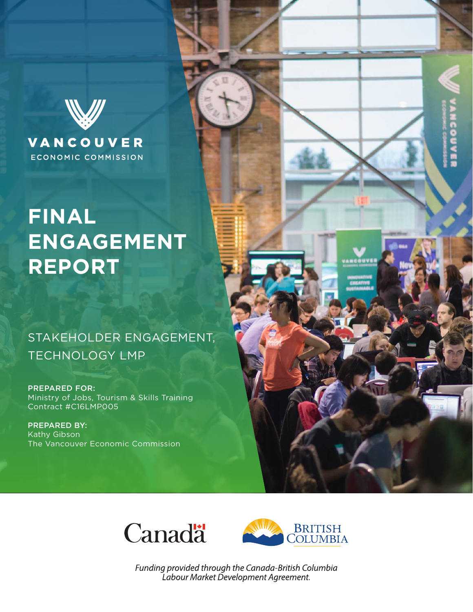

### **ECONOMIC COMMISSION**

# **FINAL ENGAGEMENT REPORT**

# STAKEHOLDER ENGAGEMENT, TECHNOLOGY LMP

PREPARED FOR: Ministry of Jobs, Tourism & Skills Training Contract #C16LMP005

PREPARED BY: Kathy Gibson The Vancouver Economic Commission





Funding provided through the Canada-British Columbia Labour Market Development Agreement.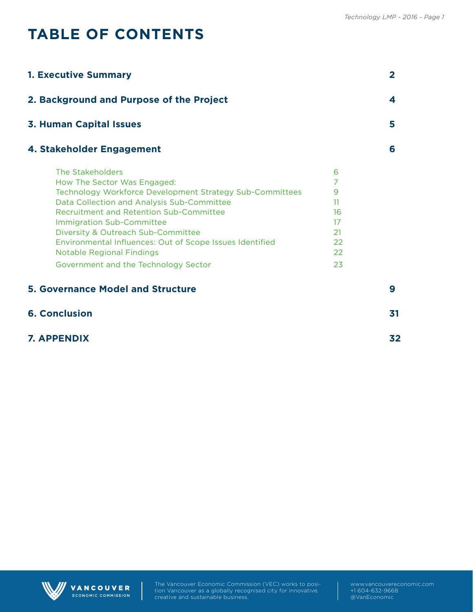# **TABLE OF CONTENTS**

| <b>1. Executive Summary</b>                                                                                                                                                                                                                                                                                                                                                                                                   |                                                       | $\overline{2}$ |
|-------------------------------------------------------------------------------------------------------------------------------------------------------------------------------------------------------------------------------------------------------------------------------------------------------------------------------------------------------------------------------------------------------------------------------|-------------------------------------------------------|----------------|
| 2. Background and Purpose of the Project                                                                                                                                                                                                                                                                                                                                                                                      |                                                       | 4              |
| <b>3. Human Capital Issues</b>                                                                                                                                                                                                                                                                                                                                                                                                |                                                       | 5              |
| 4. Stakeholder Engagement                                                                                                                                                                                                                                                                                                                                                                                                     |                                                       | 6              |
| The Stakeholders<br>How The Sector Was Engaged:<br>Technology Workforce Development Strategy Sub-Committees<br>Data Collection and Analysis Sub-Committee<br><b>Recruitment and Retention Sub-Committee</b><br><b>Immigration Sub-Committee</b><br>Diversity & Outreach Sub-Committee<br>Environmental Influences: Out of Scope Issues Identified<br><b>Notable Regional Findings</b><br>Government and the Technology Sector | 6<br>7<br>9<br>11<br>16<br>17<br>21<br>22<br>22<br>23 |                |
| <b>5. Governance Model and Structure</b>                                                                                                                                                                                                                                                                                                                                                                                      |                                                       | 9              |
| <b>6. Conclusion</b>                                                                                                                                                                                                                                                                                                                                                                                                          |                                                       | 31             |
| <b>7. APPENDIX</b>                                                                                                                                                                                                                                                                                                                                                                                                            |                                                       | 32             |



VANCOUVER ECONOMIC COMMISSION The Vancouver Economic Commission (VEC) works to position Vancouver as a globally recognised city for innovative, creative and sustainable business.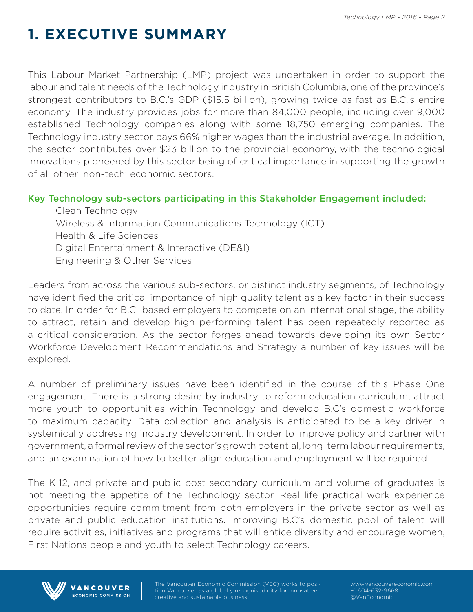# **1. EXECUTIVE SUMMARY**

This Labour Market Partnership (LMP) project was undertaken in order to support the labour and talent needs of the Technology industry in British Columbia, one of the province's strongest contributors to B.C.'s GDP (\$15.5 billion), growing twice as fast as B.C.'s entire economy. The industry provides jobs for more than 84,000 people, including over 9,000 established Technology companies along with some 18,750 emerging companies. The Technology industry sector pays 66% higher wages than the industrial average. In addition, the sector contributes over \$23 billion to the provincial economy, with the technological innovations pioneered by this sector being of critical importance in supporting the growth of all other 'non-tech' economic sectors.

#### Key Technology sub-sectors participating in this Stakeholder Engagement included:

Clean Technology Wireless & Information Communications Technology (ICT) Health & Life Sciences Digital Entertainment & Interactive (DE&I) Engineering & Other Services

Leaders from across the various sub-sectors, or distinct industry segments, of Technology have identified the critical importance of high quality talent as a key factor in their success to date. In order for B.C.-based employers to compete on an international stage, the ability to attract, retain and develop high performing talent has been repeatedly reported as a critical consideration. As the sector forges ahead towards developing its own Sector Workforce Development Recommendations and Strategy a number of key issues will be explored.

A number of preliminary issues have been identified in the course of this Phase One engagement. There is a strong desire by industry to reform education curriculum, attract more youth to opportunities within Technology and develop B.C's domestic workforce to maximum capacity. Data collection and analysis is anticipated to be a key driver in systemically addressing industry development. In order to improve policy and partner with government, a formal review of the sector's growth potential, long-term labour requirements, and an examination of how to better align education and employment will be required.

The K-12, and private and public post-secondary curriculum and volume of graduates is not meeting the appetite of the Technology sector. Real life practical work experience opportunities require commitment from both employers in the private sector as well as private and public education institutions. Improving B.C's domestic pool of talent will require activities, initiatives and programs that will entice diversity and encourage women, First Nations people and youth to select Technology careers.



VANCOUVER ECONOMIC COMMISSION tion Vancouver as a globally recognised city for innovative, creative and sustainable business.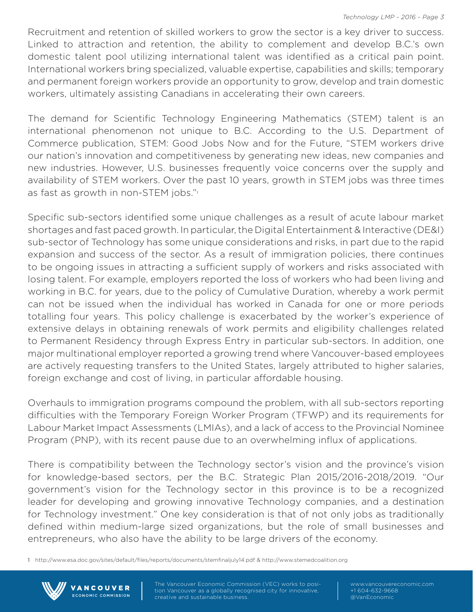Recruitment and retention of skilled workers to grow the sector is a key driver to success. Linked to attraction and retention, the ability to complement and develop B.C.'s own domestic talent pool utilizing international talent was identified as a critical pain point. International workers bring specialized, valuable expertise, capabilities and skills; temporary and permanent foreign workers provide an opportunity to grow, develop and train domestic workers, ultimately assisting Canadians in accelerating their own careers.

The demand for Scientific Technology Engineering Mathematics (STEM) talent is an international phenomenon not unique to B.C. According to the U.S. Department of Commerce publication, STEM: Good Jobs Now and for the Future, "STEM workers drive our nation's innovation and competitiveness by generating new ideas, new companies and new industries. However, U.S. businesses frequently voice concerns over the supply and availability of STEM workers. Over the past 10 years, growth in STEM jobs was three times as fast as growth in non-STEM jobs."<sup>1</sup>

Specific sub-sectors identified some unique challenges as a result of acute labour market shortages and fast paced growth. In particular, the Digital Entertainment & Interactive (DE&I) sub-sector of Technology has some unique considerations and risks, in part due to the rapid expansion and success of the sector. As a result of immigration policies, there continues to be ongoing issues in attracting a sufficient supply of workers and risks associated with losing talent. For example, employers reported the loss of workers who had been living and working in B.C. for years, due to the policy of Cumulative Duration, whereby a work permit can not be issued when the individual has worked in Canada for one or more periods totalling four years. This policy challenge is exacerbated by the worker's experience of extensive delays in obtaining renewals of work permits and eligibility challenges related to Permanent Residency through Express Entry in particular sub-sectors. In addition, one major multinational employer reported a growing trend where Vancouver-based employees are actively requesting transfers to the United States, largely attributed to higher salaries, foreign exchange and cost of living, in particular affordable housing.

Overhauls to immigration programs compound the problem, with all sub-sectors reporting difficulties with the Temporary Foreign Worker Program (TFWP) and its requirements for Labour Market Impact Assessments (LMIAs), and a lack of access to the Provincial Nominee Program (PNP), with its recent pause due to an overwhelming influx of applications.

There is compatibility between the Technology sector's vision and the province's vision for knowledge-based sectors, per the B.C. Strategic Plan 2015/2016-2018/2019. "Our government's vision for the Technology sector in this province is to be a recognized leader for developing and growing innovative Technology companies, and a destination for Technology investment." One key consideration is that of not only jobs as traditionally defined within medium-large sized organizations, but the role of small businesses and entrepreneurs, who also have the ability to be large drivers of the economy.

1 http://www.esa.doc.gov/sites/default/files/reports/documents/stemfinaljuly14.pdf & http://www.stemedcoalition.org



**VANCOUVER ECONOMIC COMMISSION**  tion Vancouver as a globally recognised city for innovative, creative and sustainable business.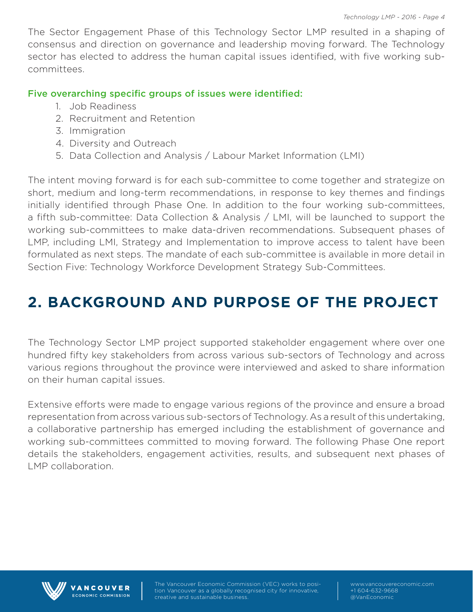The Sector Engagement Phase of this Technology Sector LMP resulted in a shaping of consensus and direction on governance and leadership moving forward. The Technology sector has elected to address the human capital issues identified, with five working subcommittees.

#### Five overarching specific groups of issues were identified:

- 1. Job Readiness
- 2. Recruitment and Retention
- 3. Immigration
- 4. Diversity and Outreach
- 5. Data Collection and Analysis / Labour Market Information (LMI)

The intent moving forward is for each sub-committee to come together and strategize on short, medium and long-term recommendations, in response to key themes and findings initially identified through Phase One. In addition to the four working sub-committees, a fifth sub-committee: Data Collection & Analysis / LMI, will be launched to support the working sub-committees to make data-driven recommendations. Subsequent phases of LMP, including LMI, Strategy and Implementation to improve access to talent have been formulated as next steps. The mandate of each sub-committee is available in more detail in Section Five: Technology Workforce Development Strategy Sub-Committees.

# **2. BACKGROUND AND PURPOSE OF THE PROJECT**

The Technology Sector LMP project supported stakeholder engagement where over one hundred fifty key stakeholders from across various sub-sectors of Technology and across various regions throughout the province were interviewed and asked to share information on their human capital issues.

Extensive efforts were made to engage various regions of the province and ensure a broad representation from across various sub-sectors of Technology. As a result of this undertaking, a collaborative partnership has emerged including the establishment of governance and working sub-committees committed to moving forward. The following Phase One report details the stakeholders, engagement activities, results, and subsequent next phases of LMP collaboration.



**VANCOUVER** ECONOMIC COMMISSION

tion Vancouver as a globally recognised city for innovative, creative and sustainable business.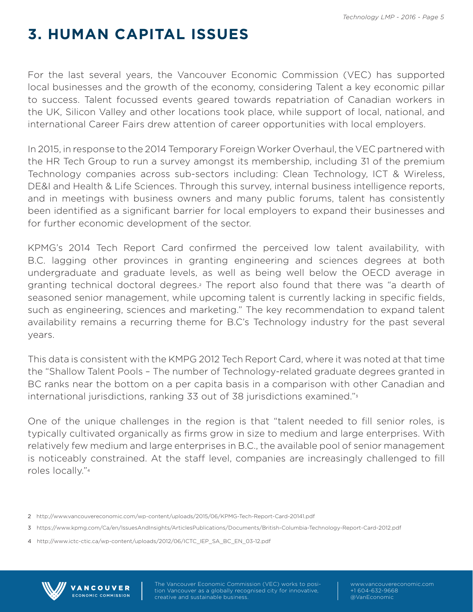# **3. HUMAN CAPITAL ISSUES**

For the last several years, the Vancouver Economic Commission (VEC) has supported local businesses and the growth of the economy, considering Talent a key economic pillar to success. Talent focussed events geared towards repatriation of Canadian workers in the UK, Silicon Valley and other locations took place, while support of local, national, and international Career Fairs drew attention of career opportunities with local employers.

In 2015, in response to the 2014 Temporary Foreign Worker Overhaul, the VEC partnered with the HR Tech Group to run a survey amongst its membership, including 31 of the premium Technology companies across sub-sectors including: Clean Technology, ICT & Wireless, DE&I and Health & Life Sciences. Through this survey, internal business intelligence reports, and in meetings with business owners and many public forums, talent has consistently been identified as a significant barrier for local employers to expand their businesses and for further economic development of the sector.

KPMG's 2014 Tech Report Card confirmed the perceived low talent availability, with B.C. lagging other provinces in granting engineering and sciences degrees at both undergraduate and graduate levels, as well as being well below the OECD average in granting technical doctoral degrees.<sup>2</sup> The report also found that there was "a dearth of seasoned senior management, while upcoming talent is currently lacking in specific fields, such as engineering, sciences and marketing." The key recommendation to expand talent availability remains a recurring theme for B.C's Technology industry for the past several years.

This data is consistent with the KMPG 2012 Tech Report Card, where it was noted at that time the "Shallow Talent Pools – The number of Technology-related graduate degrees granted in BC ranks near the bottom on a per capita basis in a comparison with other Canadian and international jurisdictions, ranking 33 out of 38 jurisdictions examined."<sup>3</sup>

One of the unique challenges in the region is that "talent needed to fill senior roles, is typically cultivated organically as firms grow in size to medium and large enterprises. With relatively few medium and large enterprises in B.C., the available pool of senior management is noticeably constrained. At the staff level, companies are increasingly challenged to fill roles locally."<sup>4</sup>



VANCOUVER **ECONOMIC COMMISSION**  tion Vancouver as a globally recognised city for innovative, creative and sustainable business.

<sup>2</sup> http://www.vancouvereconomic.com/wp-content/uploads/2015/06/KPMG-Tech-Report-Card-20141.pdf

<sup>3</sup> https://www.kpmg.com/Ca/en/IssuesAndInsights/ArticlesPublications/Documents/British-Columbia-Technology-Report-Card-2012.pdf

<sup>4</sup> http://www.ictc-ctic.ca/wp-content/uploads/2012/06/ICTC\_IEP\_SA\_BC\_EN\_03-12.pdf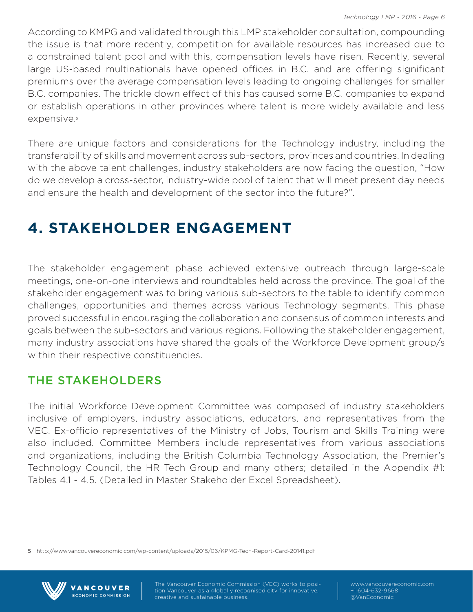According to KMPG and validated through this LMP stakeholder consultation, compounding the issue is that more recently, competition for available resources has increased due to a constrained talent pool and with this, compensation levels have risen. Recently, several large US-based multinationals have opened offices in B.C. and are offering significant premiums over the average compensation levels leading to ongoing challenges for smaller B.C. companies. The trickle down effect of this has caused some B.C. companies to expand or establish operations in other provinces where talent is more widely available and less expensive.<sup>5</sup>

There are unique factors and considerations for the Technology industry, including the transferability of skills and movement across sub-sectors, provinces and countries. In dealing with the above talent challenges, industry stakeholders are now facing the question, "How do we develop a cross-sector, industry-wide pool of talent that will meet present day needs and ensure the health and development of the sector into the future?".

# **4. STAKEHOLDER ENGAGEMENT**

The stakeholder engagement phase achieved extensive outreach through large-scale meetings, one-on-one interviews and roundtables held across the province. The goal of the stakeholder engagement was to bring various sub-sectors to the table to identify common challenges, opportunities and themes across various Technology segments. This phase proved successful in encouraging the collaboration and consensus of common interests and goals between the sub-sectors and various regions. Following the stakeholder engagement, many industry associations have shared the goals of the Workforce Development group/s within their respective constituencies.

## THE STAKEHOLDERS

**VANCOUVER** ECONOMIC COMMISSION

The initial Workforce Development Committee was composed of industry stakeholders inclusive of employers, industry associations, educators, and representatives from the VEC. Ex-officio representatives of the Ministry of Jobs, Tourism and Skills Training were also included. Committee Members include representatives from various associations and organizations, including the British Columbia Technology Association, the Premier's Technology Council, the HR Tech Group and many others; detailed in the Appendix #1: Tables 4.1 - 4.5. (Detailed in Master Stakeholder Excel Spreadsheet).

5 http://www.vancouvereconomic.com/wp-content/uploads/2015/06/KPMG-Tech-Report-Card-20141.pdf



tion Vancouver as a globally recognised city for innovative, creative and sustainable business.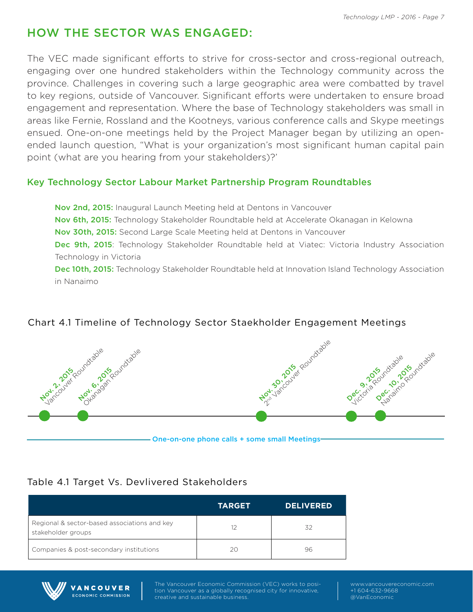# HOW THE SECTOR WAS ENGAGED:

The VEC made significant efforts to strive for cross-sector and cross-regional outreach, engaging over one hundred stakeholders within the Technology community across the province. Challenges in covering such a large geographic area were combatted by travel to key regions, outside of Vancouver. Significant efforts were undertaken to ensure broad engagement and representation. Where the base of Technology stakeholders was small in areas like Fernie, Rossland and the Kootneys, various conference calls and Skype meetings ensued. One-on-one meetings held by the Project Manager began by utilizing an openended launch question, "What is your organization's most significant human capital pain point (what are you hearing from your stakeholders)?'

#### Key Technology Sector Labour Market Partnership Program Roundtables

Nov 2nd, 2015: Inaugural Launch Meeting held at Dentons in Vancouver Nov 6th, 2015: Technology Stakeholder Roundtable held at Accelerate Okanagan in Kelowna Nov 30th, 2015: Second Large Scale Meeting held at Dentons in Vancouver Dec 9th, 2015: Technology Stakeholder Roundtable held at Viatec: Victoria Industry Association Technology in Victoria Dec 10th, 2015: Technology Stakeholder Roundtable held at Innovation Island Technology Association

in Nanaimo

#### Chart 4.1 Timeline of Technology Sector Staekholder Engagement Meetings



# Table 4.1 Target Vs. Devlivered Stakeholders

|                                                                    | <b>TARGET</b> | <b>DELIVERED</b> |
|--------------------------------------------------------------------|---------------|------------------|
| Regional & sector-based associations and key<br>stakeholder groups | 12            | 32               |
| Companies & post-secondary institutions                            | 20            | 96               |



**VANCOUVER ECONOMIC COMMISSION**  tion Vancouver as a globally recognised city for innovative, creative and sustainable business.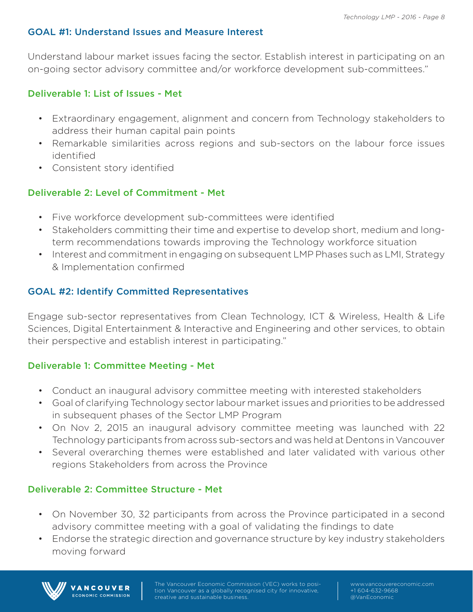#### GOAL #1: Understand Issues and Measure Interest

Understand labour market issues facing the sector. Establish interest in participating on an on-going sector advisory committee and/or workforce development sub-committees."

#### Deliverable 1: List of Issues - Met

- Extraordinary engagement, alignment and concern from Technology stakeholders to address their human capital pain points
- Remarkable similarities across regions and sub-sectors on the labour force issues identified
- Consistent story identified

#### Deliverable 2: Level of Commitment - Met

- Five workforce development sub-committees were identified
- Stakeholders committing their time and expertise to develop short, medium and longterm recommendations towards improving the Technology workforce situation
- Interest and commitment in engaging on subsequent LMP Phases such as LMI, Strategy & Implementation confirmed

#### GOAL #2: Identify Committed Representatives

Engage sub-sector representatives from Clean Technology, ICT & Wireless, Health & Life Sciences, Digital Entertainment & Interactive and Engineering and other services, to obtain their perspective and establish interest in participating."

#### Deliverable 1: Committee Meeting - Met

- Conduct an inaugural advisory committee meeting with interested stakeholders
- Goal of clarifying Technology sector labour market issues and priorities to be addressed in subsequent phases of the Sector LMP Program
- On Nov 2, 2015 an inaugural advisory committee meeting was launched with 22 Technology participants from across sub-sectors and was held at Dentons in Vancouver
- Several overarching themes were established and later validated with various other regions Stakeholders from across the Province

#### Deliverable 2: Committee Structure - Met

**ANCOUVER** ECONOMIC COMMISSION

- On November 30, 32 participants from across the Province participated in a second advisory committee meeting with a goal of validating the findings to date
- Endorse the strategic direction and governance structure by key industry stakeholders moving forward

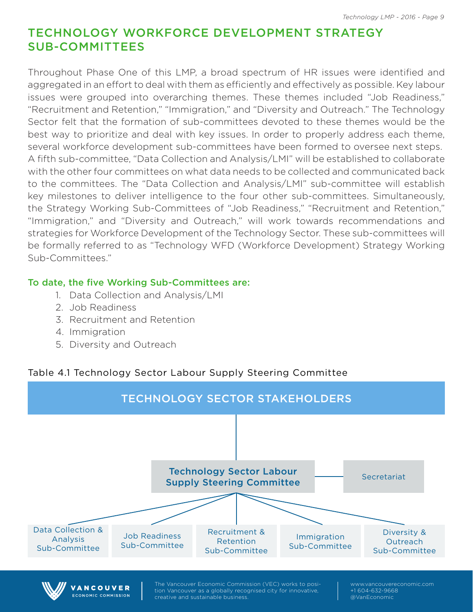## TECHNOLOGY WORKFORCE DEVELOPMENT STRATEGY SUB-COMMITTEES

Throughout Phase One of this LMP, a broad spectrum of HR issues were identified and aggregated in an effort to deal with them as efficiently and effectively as possible. Key labour issues were grouped into overarching themes. These themes included "Job Readiness," "Recruitment and Retention," "Immigration," and "Diversity and Outreach." The Technology Sector felt that the formation of sub-committees devoted to these themes would be the best way to prioritize and deal with key issues. In order to properly address each theme, several workforce development sub-committees have been formed to oversee next steps. A fifth sub-committee, "Data Collection and Analysis/LMI" will be established to collaborate with the other four committees on what data needs to be collected and communicated back to the committees. The "Data Collection and Analysis/LMI" sub-committee will establish key milestones to deliver intelligence to the four other sub-committees. Simultaneously, the Strategy Working Sub-Committees of "Job Readiness," "Recruitment and Retention," "Immigration," and "Diversity and Outreach," will work towards recommendations and strategies for Workforce Development of the Technology Sector. These sub-committees will be formally referred to as "Technology WFD (Workforce Development) Strategy Working Sub-Committees."

#### To date, the five Working Sub-Committees are:

- 1. Data Collection and Analysis/LMI
- 2. Job Readiness

**ECONOMIC COMMISSION** 

- 3. Recruitment and Retention
- 4. Immigration
- 5. Diversity and Outreach

#### Table 4.1 Technology Sector Labour Supply Steering Committee

creative and sustainable business.



@VanEconomic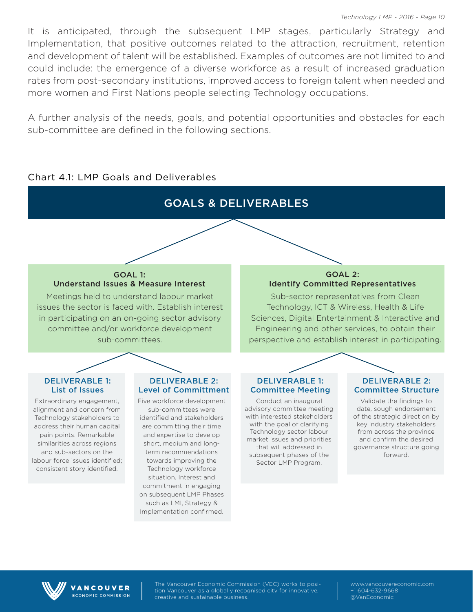It is anticipated, through the subsequent LMP stages, particularly Strategy and Implementation, that positive outcomes related to the attraction, recruitment, retention and development of talent will be established. Examples of outcomes are not limited to and could include: the emergence of a diverse workforce as a result of increased graduation rates from post-secondary institutions, improved access to foreign talent when needed and more women and First Nations people selecting Technology occupations.

A further analysis of the needs, goals, and potential opportunities and obstacles for each sub-committee are defined in the following sections.

GOALS & DELIVERABLES

#### Chart 4.1: LMP Goals and Deliverables

#### GOAL 1: Understand Issues & Measure Interest

Meetings held to understand labour market issues the sector is faced with. Establish interest in participating on an on-going sector advisory committee and/or workforce development sub-committees.

#### DELIVERABLE 1: List of Issues

Extraordinary engagement, alignment and concern from Technology stakeholders to address their human capital pain points. Remarkable similarities across regions and sub-sectors on the labour force issues identified; consistent story identified.

#### DELIVERABLE 2: Level of Committment

Five workforce development sub-committees were identified and stakeholders are committing their time and expertise to develop short, medium and longterm recommendations towards improving the Technology workforce situation. Interest and commitment in engaging on subsequent LMP Phases such as LMI, Strategy & Implementation confirmed.

#### GOAL 2: Identify Committed Representatives

Sub-sector representatives from Clean Technology, ICT & Wireless, Health & Life Sciences, Digital Entertainment & Interactive and Engineering and other services, to obtain their perspective and establish interest in participating.

#### DELIVERABLE 1: Committee Meeting

Conduct an inaugural advisory committee meeting with interested stakeholders with the goal of clarifying Technology sector labour market issues and priorities that will addressed in subsequent phases of the Sector LMP Program.

#### DELIVERABLE 2: Committee Structure

Validate the findings to date, sough endorsement of the strategic direction by key industry stakeholders from across the province and confirm the desired governance structure going forward.



**VANCOUVER ECONOMIC COMMISSION**  tion Vancouver as a globally recognised city for innovative, creative and sustainable business.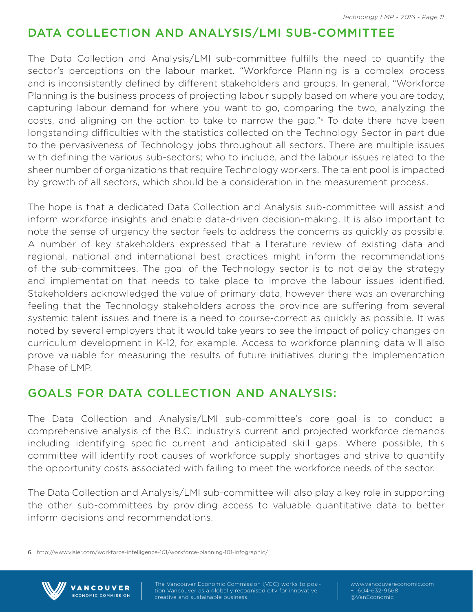## DATA COLLECTION AND ANALYSIS/LMI SUB-COMMITTEE

The Data Collection and Analysis/LMI sub-committee fulfills the need to quantify the sector's perceptions on the labour market. "Workforce Planning is a complex process and is inconsistently defined by different stakeholders and groups. In general, "Workforce Planning is the business process of projecting labour supply based on where you are today, capturing labour demand for where you want to go, comparing the two, analyzing the costs, and aligning on the action to take to narrow the gap."6 To date there have been longstanding difficulties with the statistics collected on the Technology Sector in part due to the pervasiveness of Technology jobs throughout all sectors. There are multiple issues with defining the various sub-sectors; who to include, and the labour issues related to the sheer number of organizations that require Technology workers. The talent pool is impacted by growth of all sectors, which should be a consideration in the measurement process.

The hope is that a dedicated Data Collection and Analysis sub-committee will assist and inform workforce insights and enable data-driven decision-making. It is also important to note the sense of urgency the sector feels to address the concerns as quickly as possible. A number of key stakeholders expressed that a literature review of existing data and regional, national and international best practices might inform the recommendations of the sub-committees. The goal of the Technology sector is to not delay the strategy and implementation that needs to take place to improve the labour issues identified. Stakeholders acknowledged the value of primary data, however there was an overarching feeling that the Technology stakeholders across the province are suffering from several systemic talent issues and there is a need to course-correct as quickly as possible. It was noted by several employers that it would take years to see the impact of policy changes on curriculum development in K-12, for example. Access to workforce planning data will also prove valuable for measuring the results of future initiatives during the Implementation Phase of LMP.

## GOALS FOR DATA COLLECTION AND ANALYSIS:

The Data Collection and Analysis/LMI sub-committee's core goal is to conduct a comprehensive analysis of the B.C. industry's current and projected workforce demands including identifying specific current and anticipated skill gaps. Where possible, this committee will identify root causes of workforce supply shortages and strive to quantify the opportunity costs associated with failing to meet the workforce needs of the sector.

The Data Collection and Analysis/LMI sub-committee will also play a key role in supporting the other sub-committees by providing access to valuable quantitative data to better inform decisions and recommendations.

6 http://www.visier.com/workforce-intelligence-101/workforce-planning-101-infographic/



VANCOUVER **ECONOMIC COMMISSION**  tion Vancouver as a globally recognised city for innovative, creative and sustainable business.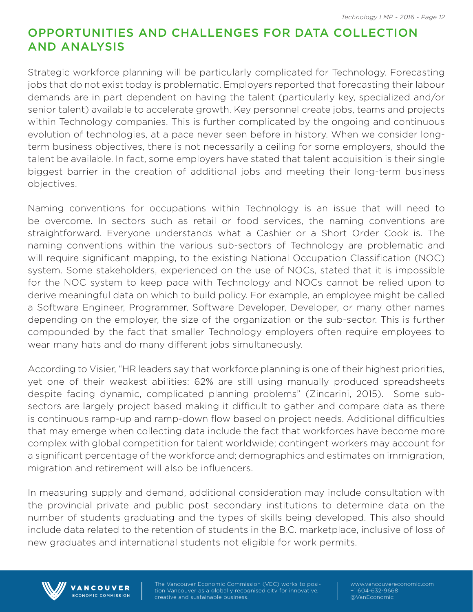## OPPORTUNITIES AND CHALLENGES FOR DATA COLLECTION AND ANALYSIS

Strategic workforce planning will be particularly complicated for Technology. Forecasting jobs that do not exist today is problematic. Employers reported that forecasting their labour demands are in part dependent on having the talent (particularly key, specialized and/or senior talent) available to accelerate growth. Key personnel create jobs, teams and projects within Technology companies. This is further complicated by the ongoing and continuous evolution of technologies, at a pace never seen before in history. When we consider longterm business objectives, there is not necessarily a ceiling for some employers, should the talent be available. In fact, some employers have stated that talent acquisition is their single biggest barrier in the creation of additional jobs and meeting their long-term business objectives.

Naming conventions for occupations within Technology is an issue that will need to be overcome. In sectors such as retail or food services, the naming conventions are straightforward. Everyone understands what a Cashier or a Short Order Cook is. The naming conventions within the various sub-sectors of Technology are problematic and will require significant mapping, to the existing National Occupation Classification (NOC) system. Some stakeholders, experienced on the use of NOCs, stated that it is impossible for the NOC system to keep pace with Technology and NOCs cannot be relied upon to derive meaningful data on which to build policy. For example, an employee might be called a Software Engineer, Programmer, Software Developer, Developer, or many other names depending on the employer, the size of the organization or the sub-sector. This is further compounded by the fact that smaller Technology employers often require employees to wear many hats and do many different jobs simultaneously.

According to Visier, "HR leaders say that workforce planning is one of their highest priorities, yet one of their weakest abilities: 62% are still using manually produced spreadsheets despite facing dynamic, complicated planning problems" (Zincarini, 2015). Some subsectors are largely project based making it difficult to gather and compare data as there is continuous ramp-up and ramp-down flow based on project needs. Additional difficulties that may emerge when collecting data include the fact that workforces have become more complex with global competition for talent worldwide; contingent workers may account for a significant percentage of the workforce and; demographics and estimates on immigration, migration and retirement will also be influencers.

In measuring supply and demand, additional consideration may include consultation with the provincial private and public post secondary institutions to determine data on the number of students graduating and the types of skills being developed. This also should include data related to the retention of students in the B.C. marketplace, inclusive of loss of new graduates and international students not eligible for work permits.



VANCOUVER ECONOMIC COMMISSION tion Vancouver as a globally recognised city for innovative, creative and sustainable business.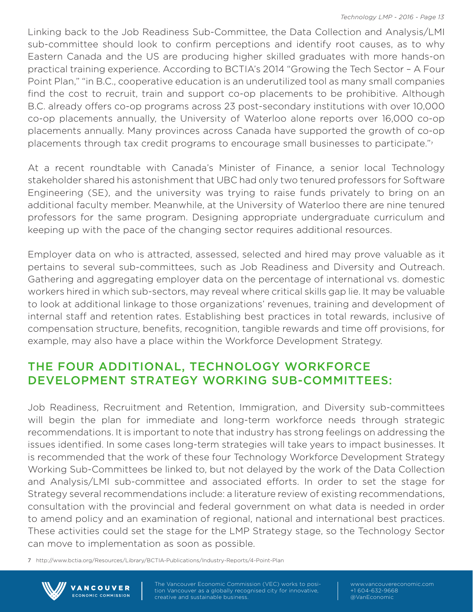Linking back to the Job Readiness Sub-Committee, the Data Collection and Analysis/LMI sub-committee should look to confirm perceptions and identify root causes, as to why Eastern Canada and the US are producing higher skilled graduates with more hands-on practical training experience. According to BCTIA's 2014 "Growing the Tech Sector – A Four Point Plan," "in B.C., cooperative education is an underutilized tool as many small companies find the cost to recruit, train and support co-op placements to be prohibitive. Although B.C. already offers co-op programs across 23 post-secondary institutions with over 10,000 co-op placements annually, the University of Waterloo alone reports over 16,000 co-op placements annually. Many provinces across Canada have supported the growth of co-op placements through tax credit programs to encourage small businesses to participate."<sup>7</sup>

At a recent roundtable with Canada's Minister of Finance, a senior local Technology stakeholder shared his astonishment that UBC had only two tenured professors for Software Engineering (SE), and the university was trying to raise funds privately to bring on an additional faculty member. Meanwhile, at the University of Waterloo there are nine tenured professors for the same program. Designing appropriate undergraduate curriculum and keeping up with the pace of the changing sector requires additional resources.

Employer data on who is attracted, assessed, selected and hired may prove valuable as it pertains to several sub-committees, such as Job Readiness and Diversity and Outreach. Gathering and aggregating employer data on the percentage of international vs. domestic workers hired in which sub-sectors, may reveal where critical skills gap lie. It may be valuable to look at additional linkage to those organizations' revenues, training and development of internal staff and retention rates. Establishing best practices in total rewards, inclusive of compensation structure, benefits, recognition, tangible rewards and time off provisions, for example, may also have a place within the Workforce Development Strategy.

# THE FOUR ADDITIONAL, TECHNOLOGY WORKFORCE DEVELOPMENT STRATEGY WORKING SUB-COMMITTEES:

Job Readiness, Recruitment and Retention, Immigration, and Diversity sub-committees will begin the plan for immediate and long-term workforce needs through strategic recommendations. It is important to note that industry has strong feelings on addressing the issues identified. In some cases long-term strategies will take years to impact businesses. It is recommended that the work of these four Technology Workforce Development Strategy Working Sub-Committees be linked to, but not delayed by the work of the Data Collection and Analysis/LMI sub-committee and associated efforts. In order to set the stage for Strategy several recommendations include: a literature review of existing recommendations, consultation with the provincial and federal government on what data is needed in order to amend policy and an examination of regional, national and international best practices. These activities could set the stage for the LMP Strategy stage, so the Technology Sector can move to implementation as soon as possible.

7 http://www.bctia.org/Resources/Library/BCTIA-Publications/Industry-Reports/4-Point-Plan



**ECONOMIC COMMISSION** 

tion Vancouver as a globally recognised city for innovative, creative and sustainable business.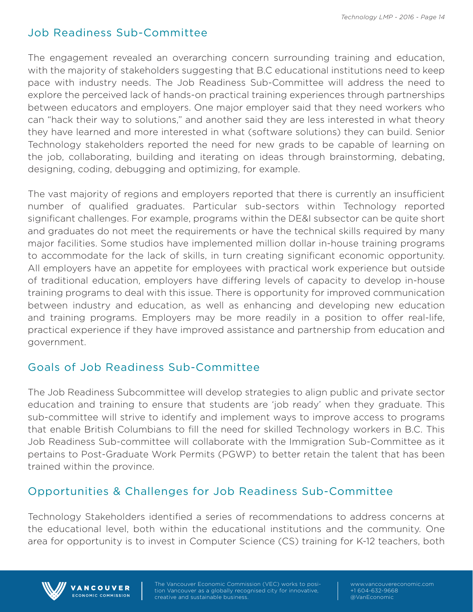## Job Readiness Sub-Committee

The engagement revealed an overarching concern surrounding training and education, with the majority of stakeholders suggesting that B.C educational institutions need to keep pace with industry needs. The Job Readiness Sub-Committee will address the need to explore the perceived lack of hands-on practical training experiences through partnerships between educators and employers. One major employer said that they need workers who can "hack their way to solutions," and another said they are less interested in what theory they have learned and more interested in what (software solutions) they can build. Senior Technology stakeholders reported the need for new grads to be capable of learning on the job, collaborating, building and iterating on ideas through brainstorming, debating, designing, coding, debugging and optimizing, for example.

The vast majority of regions and employers reported that there is currently an insufficient number of qualified graduates. Particular sub-sectors within Technology reported significant challenges. For example, programs within the DE&I subsector can be quite short and graduates do not meet the requirements or have the technical skills required by many major facilities. Some studios have implemented million dollar in-house training programs to accommodate for the lack of skills, in turn creating significant economic opportunity. All employers have an appetite for employees with practical work experience but outside of traditional education, employers have differing levels of capacity to develop in-house training programs to deal with this issue. There is opportunity for improved communication between industry and education, as well as enhancing and developing new education and training programs. Employers may be more readily in a position to offer real-life, practical experience if they have improved assistance and partnership from education and government.

### Goals of Job Readiness Sub-Committee

The Job Readiness Subcommittee will develop strategies to align public and private sector education and training to ensure that students are 'job ready' when they graduate. This sub-committee will strive to identify and implement ways to improve access to programs that enable British Columbians to fill the need for skilled Technology workers in B.C. This Job Readiness Sub-committee will collaborate with the Immigration Sub-Committee as it pertains to Post-Graduate Work Permits (PGWP) to better retain the talent that has been trained within the province.

### Opportunities & Challenges for Job Readiness Sub-Committee

Technology Stakeholders identified a series of recommendations to address concerns at the educational level, both within the educational institutions and the community. One area for opportunity is to invest in Computer Science (CS) training for K-12 teachers, both



VANCOUVER ECONOMIC COMMISSION tion Vancouver as a globally recognised city for innovative, creative and sustainable business.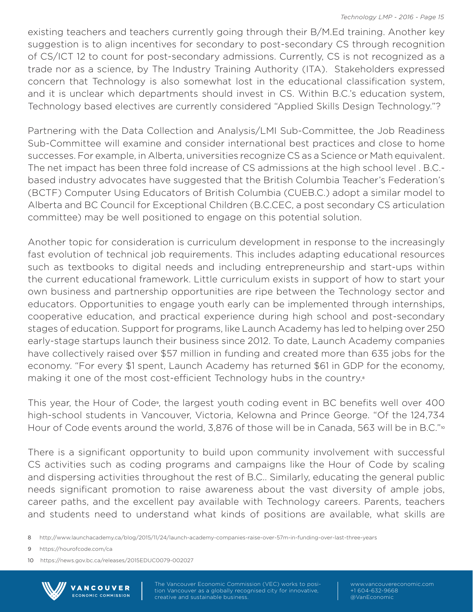existing teachers and teachers currently going through their B/M.Ed training. Another key suggestion is to align incentives for secondary to post-secondary CS through recognition of CS/ICT 12 to count for post-secondary admissions. Currently, CS is not recognized as a trade nor as a science, by The Industry Training Authority (ITA). Stakeholders expressed concern that Technology is also somewhat lost in the educational classification system, and it is unclear which departments should invest in CS. Within B.C.'s education system, Technology based electives are currently considered "Applied Skills Design Technology."?

Partnering with the Data Collection and Analysis/LMI Sub-Committee, the Job Readiness Sub-Committee will examine and consider international best practices and close to home successes. For example, in Alberta, universities recognize CS as a Science or Math equivalent. The net impact has been three fold increase of CS admissions at the high school level . B.C. based industry advocates have suggested that the British Columbia Teacher's Federation's (BCTF) Computer Using Educators of British Columbia (CUEB.C.) adopt a similar model to Alberta and BC Council for Exceptional Children (B.C.CEC, a post secondary CS articulation committee) may be well positioned to engage on this potential solution.

Another topic for consideration is curriculum development in response to the increasingly fast evolution of technical job requirements. This includes adapting educational resources such as textbooks to digital needs and including entrepreneurship and start-ups within the current educational framework. Little curriculum exists in support of how to start your own business and partnership opportunities are ripe between the Technology sector and educators. Opportunities to engage youth early can be implemented through internships, cooperative education, and practical experience during high school and post-secondary stages of education. Support for programs, like Launch Academy has led to helping over 250 early-stage startups launch their business since 2012. To date, Launch Academy companies have collectively raised over \$57 million in funding and created more than 635 jobs for the economy. "For every \$1 spent, Launch Academy has returned \$61 in GDP for the economy, making it one of the most cost-efficient Technology hubs in the country.<sup>8</sup>

This year, the Hour of Code<sup>9</sup>, the largest youth coding event in BC benefits well over 400 high-school students in Vancouver, Victoria, Kelowna and Prince George. "Of the 124,734 Hour of Code events around the world, 3,876 of those will be in Canada, 563 will be in B.C."<sup>10</sup>

There is a significant opportunity to build upon community involvement with successful CS activities such as coding programs and campaigns like the Hour of Code by scaling and dispersing activities throughout the rest of B.C.. Similarly, educating the general public needs significant promotion to raise awareness about the vast diversity of ample jobs, career paths, and the excellent pay available with Technology careers. Parents, teachers and students need to understand what kinds of positions are available, what skills are

8 http://www.launchacademy.ca/blog/2015/11/24/launch-academy-companies-raise-over-57m-in-funding-over-last-three-years

9 https://hourofcode.com/ca

10 https://news.gov.bc.ca/releases/2015EDUC0079-002027



tion Vancouver as a globally recognised city for innovative, creative and sustainable business.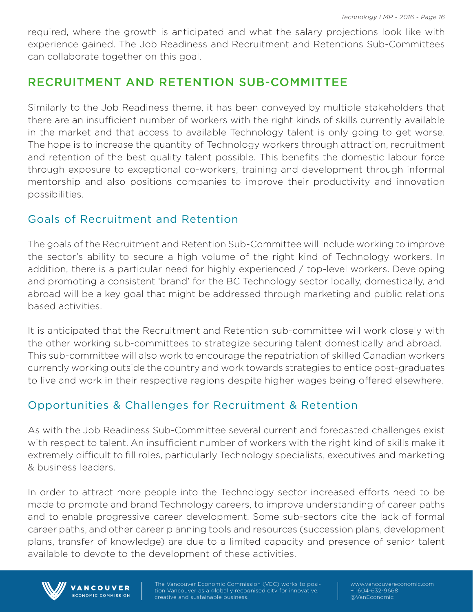required, where the growth is anticipated and what the salary projections look like with experience gained. The Job Readiness and Recruitment and Retentions Sub-Committees can collaborate together on this goal.

## RECRUITMENT AND RETENTION SUB-COMMITTEE

Similarly to the Job Readiness theme, it has been conveyed by multiple stakeholders that there are an insufficient number of workers with the right kinds of skills currently available in the market and that access to available Technology talent is only going to get worse. The hope is to increase the quantity of Technology workers through attraction, recruitment and retention of the best quality talent possible. This benefits the domestic labour force through exposure to exceptional co-workers, training and development through informal mentorship and also positions companies to improve their productivity and innovation possibilities.

### Goals of Recruitment and Retention

The goals of the Recruitment and Retention Sub-Committee will include working to improve the sector's ability to secure a high volume of the right kind of Technology workers. In addition, there is a particular need for highly experienced / top-level workers. Developing and promoting a consistent 'brand' for the BC Technology sector locally, domestically, and abroad will be a key goal that might be addressed through marketing and public relations based activities.

It is anticipated that the Recruitment and Retention sub-committee will work closely with the other working sub-committees to strategize securing talent domestically and abroad. This sub-committee will also work to encourage the repatriation of skilled Canadian workers currently working outside the country and work towards strategies to entice post-graduates to live and work in their respective regions despite higher wages being offered elsewhere.

## Opportunities & Challenges for Recruitment & Retention

As with the Job Readiness Sub-Committee several current and forecasted challenges exist with respect to talent. An insufficient number of workers with the right kind of skills make it extremely difficult to fill roles, particularly Technology specialists, executives and marketing & business leaders.

In order to attract more people into the Technology sector increased efforts need to be made to promote and brand Technology careers, to improve understanding of career paths and to enable progressive career development. Some sub-sectors cite the lack of formal career paths, and other career planning tools and resources (succession plans, development plans, transfer of knowledge) are due to a limited capacity and presence of senior talent available to devote to the development of these activities.



VANCOUVER ECONOMIC COMMISSION tion Vancouver as a globally recognised city for innovative, creative and sustainable business.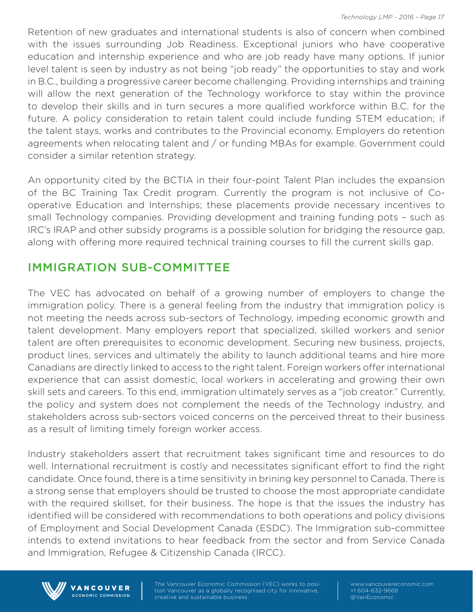Retention of new graduates and international students is also of concern when combined with the issues surrounding Job Readiness. Exceptional juniors who have cooperative education and internship experience and who are job ready have many options. If junior level talent is seen by industry as not being "job ready" the opportunities to stay and work in B.C., building a progressive career become challenging. Providing internships and training will allow the next generation of the Technology workforce to stay within the province to develop their skills and in turn secures a more qualified workforce within B.C. for the future. A policy consideration to retain talent could include funding STEM education; if the talent stays, works and contributes to the Provincial economy. Employers do retention agreements when relocating talent and / or funding MBAs for example. Government could consider a similar retention strategy.

An opportunity cited by the BCTIA in their four-point Talent Plan includes the expansion of the BC Training Tax Credit program. Currently the program is not inclusive of Cooperative Education and Internships; these placements provide necessary incentives to small Technology companies. Providing development and training funding pots – such as IRC's IRAP and other subsidy programs is a possible solution for bridging the resource gap, along with offering more required technical training courses to fill the current skills gap.

#### IMMIGRATION SUB-COMMITTEE

The VEC has advocated on behalf of a growing number of employers to change the immigration policy. There is a general feeling from the industry that immigration policy is not meeting the needs across sub-sectors of Technology, impeding economic growth and talent development. Many employers report that specialized, skilled workers and senior talent are often prerequisites to economic development. Securing new business, projects, product lines, services and ultimately the ability to launch additional teams and hire more Canadians are directly linked to access to the right talent. Foreign workers offer international experience that can assist domestic, local workers in accelerating and growing their own skill sets and careers. To this end, immigration ultimately serves as a "job creator." Currently, the policy and system does not complement the needs of the Technology industry, and stakeholders across sub-sectors voiced concerns on the perceived threat to their business as a result of limiting timely foreign worker access.

Industry stakeholders assert that recruitment takes significant time and resources to do well. International recruitment is costly and necessitates significant effort to find the right candidate. Once found, there is a time sensitivity in brining key personnel to Canada. There is a strong sense that employers should be trusted to choose the most appropriate candidate with the required skillset, for their business. The hope is that the issues the industry has identified will be considered with recommendations to both operations and policy divisions of Employment and Social Development Canada (ESDC). The Immigration sub-committee intends to extend invitations to hear feedback from the sector and from Service Canada and Immigration, Refugee & Citizenship Canada (IRCC).



**VANCOUVER ECONOMIC COMMISSION**  tion Vancouver as a globally recognised city for innovative, creative and sustainable business.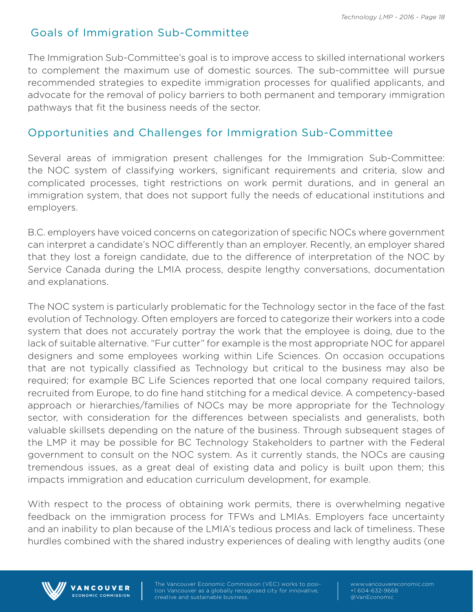## Goals of Immigration Sub-Committee

The Immigration Sub-Committee's goal is to improve access to skilled international workers to complement the maximum use of domestic sources. The sub-committee will pursue recommended strategies to expedite immigration processes for qualified applicants, and advocate for the removal of policy barriers to both permanent and temporary immigration pathways that fit the business needs of the sector.

## Opportunities and Challenges for Immigration Sub-Committee

Several areas of immigration present challenges for the Immigration Sub-Committee: the NOC system of classifying workers, significant requirements and criteria, slow and complicated processes, tight restrictions on work permit durations, and in general an immigration system, that does not support fully the needs of educational institutions and employers.

B.C. employers have voiced concerns on categorization of specific NOCs where government can interpret a candidate's NOC differently than an employer. Recently, an employer shared that they lost a foreign candidate, due to the difference of interpretation of the NOC by Service Canada during the LMIA process, despite lengthy conversations, documentation and explanations.

The NOC system is particularly problematic for the Technology sector in the face of the fast evolution of Technology. Often employers are forced to categorize their workers into a code system that does not accurately portray the work that the employee is doing, due to the lack of suitable alternative. "Fur cutter" for example is the most appropriate NOC for apparel designers and some employees working within Life Sciences. On occasion occupations that are not typically classified as Technology but critical to the business may also be required; for example BC Life Sciences reported that one local company required tailors, recruited from Europe, to do fine hand stitching for a medical device. A competency-based approach or hierarchies/families of NOCs may be more appropriate for the Technology sector, with consideration for the differences between specialists and generalists, both valuable skillsets depending on the nature of the business. Through subsequent stages of the LMP it may be possible for BC Technology Stakeholders to partner with the Federal government to consult on the NOC system. As it currently stands, the NOCs are causing tremendous issues, as a great deal of existing data and policy is built upon them; this impacts immigration and education curriculum development, for example.

With respect to the process of obtaining work permits, there is overwhelming negative feedback on the immigration process for TFWs and LMIAs. Employers face uncertainty and an inability to plan because of the LMIA's tedious process and lack of timeliness. These hurdles combined with the shared industry experiences of dealing with lengthy audits (one



VANCOUVER ECONOMIC COMMISSION tion Vancouver as a globally recognised city for innovative, creative and sustainable business.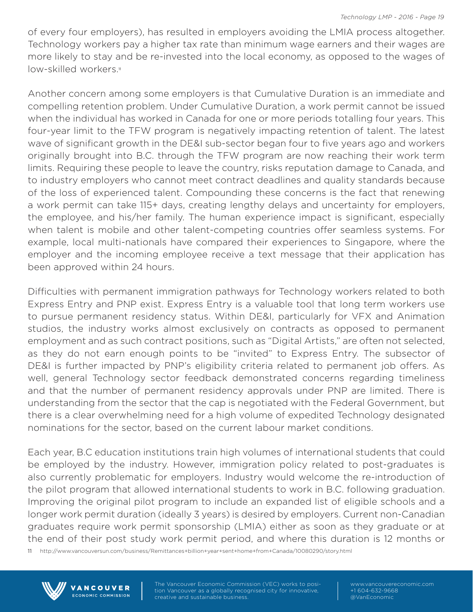of every four employers), has resulted in employers avoiding the LMIA process altogether. Technology workers pay a higher tax rate than minimum wage earners and their wages are more likely to stay and be re-invested into the local economy, as opposed to the wages of low-skilled workers.<sup>11</sup>

Another concern among some employers is that Cumulative Duration is an immediate and compelling retention problem. Under Cumulative Duration, a work permit cannot be issued when the individual has worked in Canada for one or more periods totalling four years. This four-year limit to the TFW program is negatively impacting retention of talent. The latest wave of significant growth in the DE&I sub-sector began four to five years ago and workers originally brought into B.C. through the TFW program are now reaching their work term limits. Requiring these people to leave the country, risks reputation damage to Canada, and to industry employers who cannot meet contract deadlines and quality standards because of the loss of experienced talent. Compounding these concerns is the fact that renewing a work permit can take 115+ days, creating lengthy delays and uncertainty for employers, the employee, and his/her family. The human experience impact is significant, especially when talent is mobile and other talent-competing countries offer seamless systems. For example, local multi-nationals have compared their experiences to Singapore, where the employer and the incoming employee receive a text message that their application has been approved within 24 hours.

Difficulties with permanent immigration pathways for Technology workers related to both Express Entry and PNP exist. Express Entry is a valuable tool that long term workers use to pursue permanent residency status. Within DE&I, particularly for VFX and Animation studios, the industry works almost exclusively on contracts as opposed to permanent employment and as such contract positions, such as "Digital Artists," are often not selected, as they do not earn enough points to be "invited" to Express Entry. The subsector of DE&I is further impacted by PNP's eligibility criteria related to permanent job offers. As well, general Technology sector feedback demonstrated concerns regarding timeliness and that the number of permanent residency approvals under PNP are limited. There is understanding from the sector that the cap is negotiated with the Federal Government, but there is a clear overwhelming need for a high volume of expedited Technology designated nominations for the sector, based on the current labour market conditions.

Each year, B.C education institutions train high volumes of international students that could be employed by the industry. However, immigration policy related to post-graduates is also currently problematic for employers. Industry would welcome the re-introduction of the pilot program that allowed international students to work in B.C. following graduation. Improving the original pilot program to include an expanded list of eligible schools and a longer work permit duration (ideally 3 years) is desired by employers. Current non-Canadian graduates require work permit sponsorship (LMIA) either as soon as they graduate or at the end of their post study work permit period, and where this duration is 12 months or

11 http://www.vancouversun.com/business/Remittances+billion+year+sent+home+from+Canada/10080290/story.html



**VANCOUVER** ECONOMIC COMMISSION tion Vancouver as a globally recognised city for innovative, creative and sustainable business.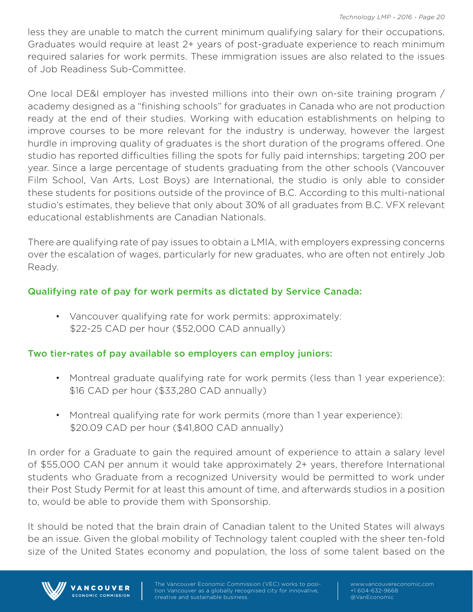less they are unable to match the current minimum qualifying salary for their occupations. Graduates would require at least 2+ years of post-graduate experience to reach minimum required salaries for work permits. These immigration issues are also related to the issues of Job Readiness Sub-Committee.

One local DE&I employer has invested millions into their own on-site training program / academy designed as a "finishing schools" for graduates in Canada who are not production ready at the end of their studies. Working with education establishments on helping to improve courses to be more relevant for the industry is underway, however the largest hurdle in improving quality of graduates is the short duration of the programs offered. One studio has reported difficulties filling the spots for fully paid internships; targeting 200 per year. Since a large percentage of students graduating from the other schools (Vancouver Film School, Van Arts, Lost Boys) are International, the studio is only able to consider these students for positions outside of the province of B.C. According to this multi-national studio's estimates, they believe that only about 30% of all graduates from B.C. VFX relevant educational establishments are Canadian Nationals.

There are qualifying rate of pay issues to obtain a LMIA, with employers expressing concerns over the escalation of wages, particularly for new graduates, who are often not entirely Job Ready.

#### Qualifying rate of pay for work permits as dictated by Service Canada:

• Vancouver qualifying rate for work permits: approximately: \$22-25 CAD per hour (\$52,000 CAD annually)

#### Two tier-rates of pay available so employers can employ juniors:

- Montreal graduate qualifying rate for work permits (less than 1 year experience): \$16 CAD per hour (\$33,280 CAD annually)
- Montreal qualifying rate for work permits (more than 1 year experience): \$20.09 CAD per hour (\$41,800 CAD annually)

In order for a Graduate to gain the required amount of experience to attain a salary level of \$55,000 CAN per annum it would take approximately 2+ years, therefore International students who Graduate from a recognized University would be permitted to work under their Post Study Permit for at least this amount of time, and afterwards studios in a position to, would be able to provide them with Sponsorship.

It should be noted that the brain drain of Canadian talent to the United States will always be an issue. Given the global mobility of Technology talent coupled with the sheer ten-fold size of the United States economy and population, the loss of some talent based on the



VANCOUVER **ECONOMIC COMMISSION**  tion Vancouver as a globally recognised city for innovative, creative and sustainable business.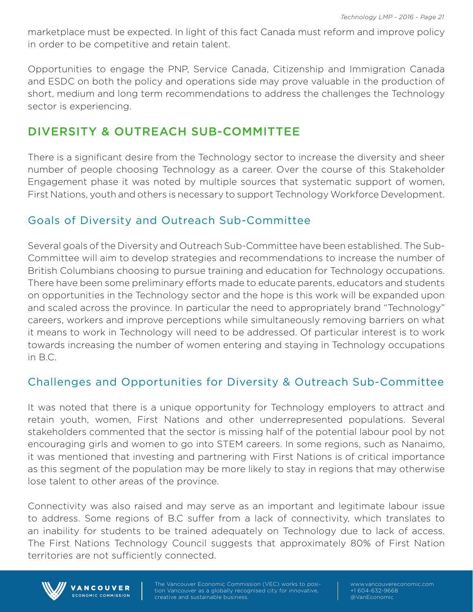marketplace must be expected. In light of this fact Canada must reform and improve policy in order to be competitive and retain talent.

Opportunities to engage the PNP, Service Canada, Citizenship and Immigration Canada and ESDC on both the policy and operations side may prove valuable in the production of short, medium and long term recommendations to address the challenges the Technology sector is experiencing.

# DIVERSITY & OUTREACH SUB-COMMITTEE

There is a significant desire from the Technology sector to increase the diversity and sheer number of people choosing Technology as a career. Over the course of this Stakeholder Engagement phase it was noted by multiple sources that systematic support of women, First Nations, youth and others is necessary to support Technology Workforce Development.

### Goals of Diversity and Outreach Sub-Committee

Several goals of the Diversity and Outreach Sub-Committee have been established. The Sub-Committee will aim to develop strategies and recommendations to increase the number of British Columbians choosing to pursue training and education for Technology occupations. There have been some preliminary efforts made to educate parents, educators and students on opportunities in the Technology sector and the hope is this work will be expanded upon and scaled across the province. In particular the need to appropriately brand "Technology" careers, workers and improve perceptions while simultaneously removing barriers on what it means to work in Technology will need to be addressed. Of particular interest is to work towards increasing the number of women entering and staying in Technology occupations in B.C.

## Challenges and Opportunities for Diversity & Outreach Sub-Committee

It was noted that there is a unique opportunity for Technology employers to attract and retain youth, women, First Nations and other underrepresented populations. Several stakeholders commented that the sector is missing half of the potential labour pool by not encouraging girls and women to go into STEM careers. In some regions, such as Nanaimo, it was mentioned that investing and partnering with First Nations is of critical importance as this segment of the population may be more likely to stay in regions that may otherwise lose talent to other areas of the province.

Connectivity was also raised and may serve as an important and legitimate labour issue to address. Some regions of B.C suffer from a lack of connectivity, which translates to an inability for students to be trained adequately on Technology due to lack of access. The First Nations Technology Council suggests that approximately 80% of First Nation territories are not sufficiently connected.



VANCOUVER ECONOMIC COMMISSION tion Vancouver as a globally recognised city for innovative, creative and sustainable business.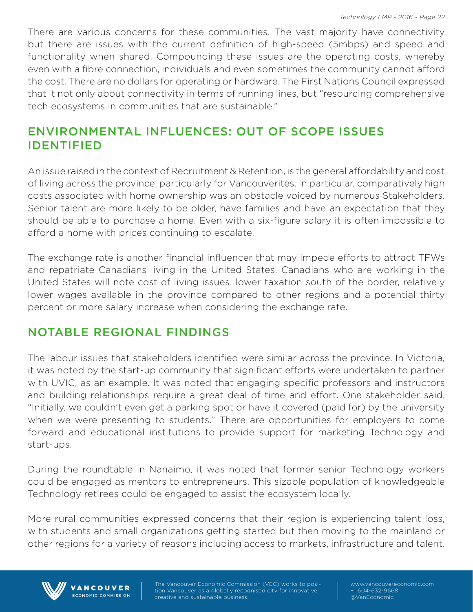There are various concerns for these communities. The vast majority have connectivity but there are issues with the current definition of high-speed (5mbps) and speed and functionality when shared. Compounding these issues are the operating costs, whereby even with a fibre connection, individuals and even sometimes the community cannot afford the cost. There are no dollars for operating or hardware. The First Nations Council expressed that it not only about connectivity in terms of running lines, but "resourcing comprehensive tech ecosystems in communities that are sustainable."

# ENVIRONMENTAL INFLUENCES: OUT OF SCOPE ISSUES IDENTIFIED

An issue raised in the context of Recruitment & Retention, is the general affordability and cost of living across the province, particularly for Vancouverites. In particular, comparatively high costs associated with home ownership was an obstacle voiced by numerous Stakeholders. Senior talent are more likely to be older, have families and have an expectation that they should be able to purchase a home. Even with a six-figure salary it is often impossible to afford a home with prices continuing to escalate.

The exchange rate is another financial influencer that may impede efforts to attract TFWs and repatriate Canadians living in the United States. Canadians who are working in the United States will note cost of living issues, lower taxation south of the border, relatively lower wages available in the province compared to other regions and a potential thirty percent or more salary increase when considering the exchange rate.

### NOTABLE REGIONAL FINDINGS

The labour issues that stakeholders identified were similar across the province. In Victoria, it was noted by the start-up community that significant efforts were undertaken to partner with UVIC, as an example. It was noted that engaging specific professors and instructors and building relationships require a great deal of time and effort. One stakeholder said, "Initially, we couldn't even get a parking spot or have it covered (paid for) by the university when we were presenting to students." There are opportunities for employers to come forward and educational institutions to provide support for marketing Technology and start-ups.

During the roundtable in Nanaimo, it was noted that former senior Technology workers could be engaged as mentors to entrepreneurs. This sizable population of knowledgeable Technology retirees could be engaged to assist the ecosystem locally.

More rural communities expressed concerns that their region is experiencing talent loss, with students and small organizations getting started but then moving to the mainland or other regions for a variety of reasons including access to markets, infrastructure and talent.



VANCOUVER ECONOMIC COMMISSION tion Vancouver as a globally recognised city for innovative, creative and sustainable business.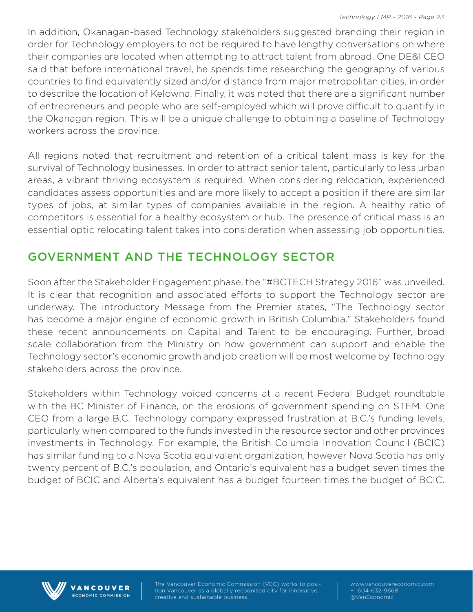In addition, Okanagan-based Technology stakeholders suggested branding their region in order for Technology employers to not be required to have lengthy conversations on where their companies are located when attempting to attract talent from abroad. One DE&I CEO said that before international travel, he spends time researching the geography of various countries to find equivalently sized and/or distance from major metropolitan cities, in order to describe the location of Kelowna. Finally, it was noted that there are a significant number of entrepreneurs and people who are self-employed which will prove difficult to quantify in the Okanagan region. This will be a unique challenge to obtaining a baseline of Technology workers across the province.

All regions noted that recruitment and retention of a critical talent mass is key for the survival of Technology businesses. In order to attract senior talent, particularly to less urban areas, a vibrant thriving ecosystem is required. When considering relocation, experienced candidates assess opportunities and are more likely to accept a position if there are similar types of jobs, at similar types of companies available in the region. A healthy ratio of competitors is essential for a healthy ecosystem or hub. The presence of critical mass is an essential optic relocating talent takes into consideration when assessing job opportunities.

## GOVERNMENT AND THE TECHNOLOGY SECTOR

Soon after the Stakeholder Engagement phase, the "#BCTECH Strategy 2016" was unveiled. It is clear that recognition and associated efforts to support the Technology sector are underway. The introductory Message from the Premier states, "The Technology sector has become a major engine of economic growth in British Columbia." Stakeholders found these recent announcements on Capital and Talent to be encouraging. Further, broad scale collaboration from the Ministry on how government can support and enable the Technology sector's economic growth and job creation will be most welcome by Technology stakeholders across the province.

Stakeholders within Technology voiced concerns at a recent Federal Budget roundtable with the BC Minister of Finance, on the erosions of government spending on STEM. One CEO from a large B.C. Technology company expressed frustration at B.C.'s funding levels, particularly when compared to the funds invested in the resource sector and other provinces investments in Technology. For example, the British Columbia Innovation Council (BCIC) has similar funding to a Nova Scotia equivalent organization, however Nova Scotia has only twenty percent of B.C.'s population, and Ontario's equivalent has a budget seven times the budget of BCIC and Alberta's equivalent has a budget fourteen times the budget of BCIC.



**VANCOUVER ECONOMIC COMMISSION**  tion Vancouver as a globally recognised city for innovative, creative and sustainable business.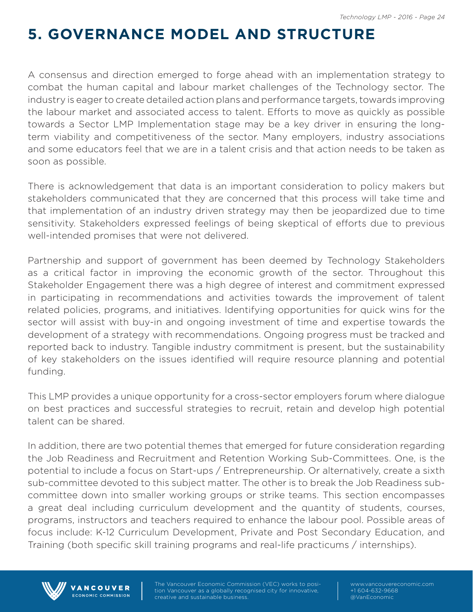# **5. GOVERNANCE MODEL AND STRUCTURE**

A consensus and direction emerged to forge ahead with an implementation strategy to combat the human capital and labour market challenges of the Technology sector. The industry is eager to create detailed action plans and performance targets, towards improving the labour market and associated access to talent. Efforts to move as quickly as possible towards a Sector LMP Implementation stage may be a key driver in ensuring the longterm viability and competitiveness of the sector. Many employers, industry associations and some educators feel that we are in a talent crisis and that action needs to be taken as soon as possible.

There is acknowledgement that data is an important consideration to policy makers but stakeholders communicated that they are concerned that this process will take time and that implementation of an industry driven strategy may then be jeopardized due to time sensitivity. Stakeholders expressed feelings of being skeptical of efforts due to previous well-intended promises that were not delivered.

Partnership and support of government has been deemed by Technology Stakeholders as a critical factor in improving the economic growth of the sector. Throughout this Stakeholder Engagement there was a high degree of interest and commitment expressed in participating in recommendations and activities towards the improvement of talent related policies, programs, and initiatives. Identifying opportunities for quick wins for the sector will assist with buy-in and ongoing investment of time and expertise towards the development of a strategy with recommendations. Ongoing progress must be tracked and reported back to industry. Tangible industry commitment is present, but the sustainability of key stakeholders on the issues identified will require resource planning and potential funding.

This LMP provides a unique opportunity for a cross-sector employers forum where dialogue on best practices and successful strategies to recruit, retain and develop high potential talent can be shared.

In addition, there are two potential themes that emerged for future consideration regarding the Job Readiness and Recruitment and Retention Working Sub-Committees. One, is the potential to include a focus on Start-ups / Entrepreneurship. Or alternatively, create a sixth sub-committee devoted to this subject matter. The other is to break the Job Readiness subcommittee down into smaller working groups or strike teams. This section encompasses a great deal including curriculum development and the quantity of students, courses, programs, instructors and teachers required to enhance the labour pool. Possible areas of focus include: K-12 Curriculum Development, Private and Post Secondary Education, and Training (both specific skill training programs and real-life practicums / internships).



**VANCOUVER** ECONOMIC COMMISSION tion Vancouver as a globally recognised city for innovative, creative and sustainable business.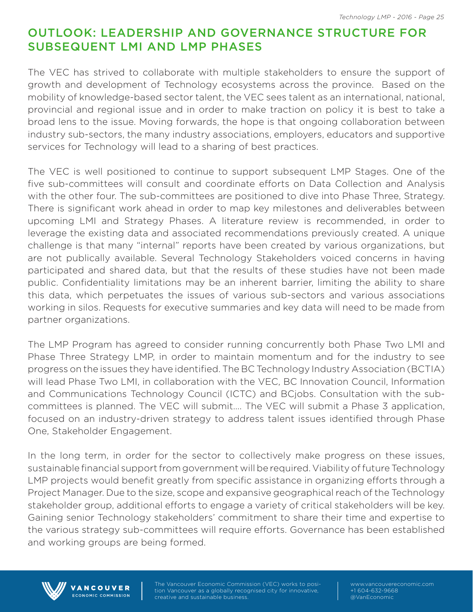## OUTLOOK: LEADERSHIP AND GOVERNANCE STRUCTURE FOR SUBSEQUENT LMI AND LMP PHASES

The VEC has strived to collaborate with multiple stakeholders to ensure the support of growth and development of Technology ecosystems across the province. Based on the mobility of knowledge-based sector talent, the VEC sees talent as an international, national, provincial and regional issue and in order to make traction on policy it is best to take a broad lens to the issue. Moving forwards, the hope is that ongoing collaboration between industry sub-sectors, the many industry associations, employers, educators and supportive services for Technology will lead to a sharing of best practices.

The VEC is well positioned to continue to support subsequent LMP Stages. One of the five sub-committees will consult and coordinate efforts on Data Collection and Analysis with the other four. The sub-committees are positioned to dive into Phase Three, Strategy. There is significant work ahead in order to map key milestones and deliverables between upcoming LMI and Strategy Phases. A literature review is recommended, in order to leverage the existing data and associated recommendations previously created. A unique challenge is that many "internal" reports have been created by various organizations, but are not publically available. Several Technology Stakeholders voiced concerns in having participated and shared data, but that the results of these studies have not been made public. Confidentiality limitations may be an inherent barrier, limiting the ability to share this data, which perpetuates the issues of various sub-sectors and various associations working in silos. Requests for executive summaries and key data will need to be made from partner organizations.

The LMP Program has agreed to consider running concurrently both Phase Two LMI and Phase Three Strategy LMP, in order to maintain momentum and for the industry to see progress on the issues they have identified. The BC Technology Industry Association (BCTIA) will lead Phase Two LMI, in collaboration with the VEC, BC Innovation Council, Information and Communications Technology Council (ICTC) and BCjobs. Consultation with the subcommittees is planned. The VEC will submit…. The VEC will submit a Phase 3 application, focused on an industry-driven strategy to address talent issues identified through Phase One, Stakeholder Engagement.

In the long term, in order for the sector to collectively make progress on these issues, sustainable financial support from government will be required. Viability of future Technology LMP projects would benefit greatly from specific assistance in organizing efforts through a Project Manager. Due to the size, scope and expansive geographical reach of the Technology stakeholder group, additional efforts to engage a variety of critical stakeholders will be key. Gaining senior Technology stakeholders' commitment to share their time and expertise to the various strategy sub-committees will require efforts. Governance has been established and working groups are being formed.



VANCOUVER ECONOMIC COMMISSION tion Vancouver as a globally recognised city for innovative, creative and sustainable business.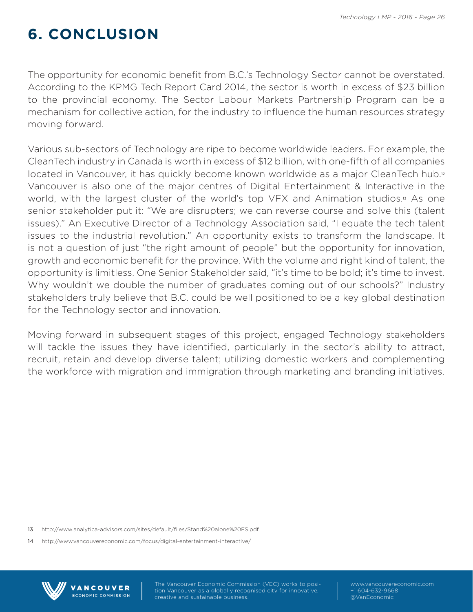# **6. CONCLUSION**

The opportunity for economic benefit from B.C.'s Technology Sector cannot be overstated. According to the KPMG Tech Report Card 2014, the sector is worth in excess of \$23 billion to the provincial economy. The Sector Labour Markets Partnership Program can be a mechanism for collective action, for the industry to influence the human resources strategy moving forward.

Various sub-sectors of Technology are ripe to become worldwide leaders. For example, the CleanTech industry in Canada is worth in excess of \$12 billion, with one-fifth of all companies located in Vancouver, it has quickly become known worldwide as a major CleanTech hub.<sup>12</sup> Vancouver is also one of the major centres of Digital Entertainment & Interactive in the world, with the largest cluster of the world's top VFX and Animation studios.<sup>13</sup> As one senior stakeholder put it: "We are disrupters; we can reverse course and solve this (talent issues)." An Executive Director of a Technology Association said, "I equate the tech talent issues to the industrial revolution." An opportunity exists to transform the landscape. It is not a question of just "the right amount of people" but the opportunity for innovation, growth and economic benefit for the province. With the volume and right kind of talent, the opportunity is limitless. One Senior Stakeholder said, "it's time to be bold; it's time to invest. Why wouldn't we double the number of graduates coming out of our schools?" Industry stakeholders truly believe that B.C. could be well positioned to be a key global destination for the Technology sector and innovation.

Moving forward in subsequent stages of this project, engaged Technology stakeholders will tackle the issues they have identified, particularly in the sector's ability to attract, recruit, retain and develop diverse talent; utilizing domestic workers and complementing the workforce with migration and immigration through marketing and branding initiatives.

13 http://www.analytica-advisors.com/sites/default/files/Stand%20alone%20ES.pdf

14 http://www.vancouvereconomic.com/focus/digital-entertainment-interactive/

VANCOUVER **ECONOMIC COMMISSION** 



tion Vancouver as a globally recognised city for innovative, creative and sustainable business.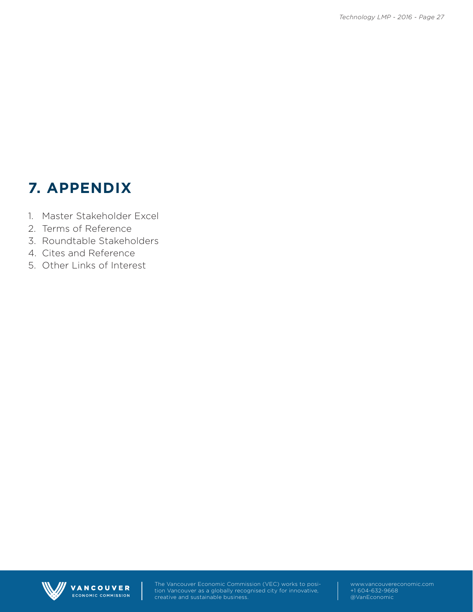# **7. APPENDIX**

- 1. Master Stakeholder Excel
- 2. Terms of Reference
- 3. Roundtable Stakeholders
- 4. Cites and Reference
- 5. Other Links of Interest



VANCOUVER ECONOMIC COMMISSION The Vancouver Economic Commission (VEC) works to position Vancouver as a globally recognised city for innovative, creative and sustainable business.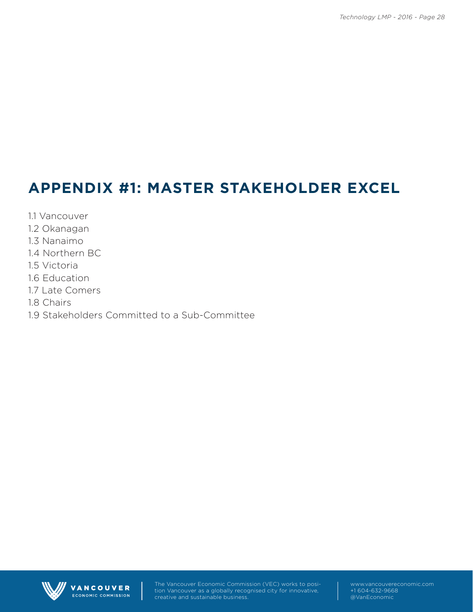# **APPENDIX #1: MASTER STAKEHOLDER EXCEL**

- 1.1 Vancouver
- 1.2 Okanagan
- 1.3 Nanaimo
- 1.4 Northern BC
- 1.5 Victoria
- 1.6 Education
- 1.7 Late Comers
- 1.8 Chairs
- 1.9 Stakeholders Committed to a Sub-Committee



VANCOUVER ECONOMIC COMMISSION The Vancouver Economic Commission (VEC) works to position Vancouver as a globally recognised city for innovative, creative and sustainable business.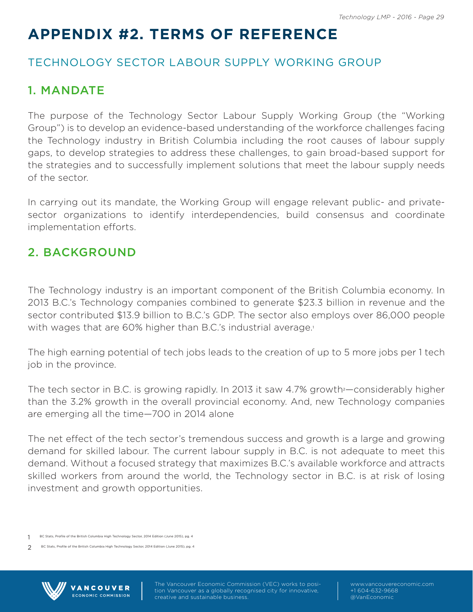# **APPENDIX #2. TERMS OF REFERENCE**

## TECHNOLOGY SECTOR LABOUR SUPPLY WORKING GROUP

# 1. MANDATE

The purpose of the Technology Sector Labour Supply Working Group (the "Working Group") is to develop an evidence-based understanding of the workforce challenges facing the Technology industry in British Columbia including the root causes of labour supply gaps, to develop strategies to address these challenges, to gain broad-based support for the strategies and to successfully implement solutions that meet the labour supply needs of the sector.

In carrying out its mandate, the Working Group will engage relevant public- and privatesector organizations to identify interdependencies, build consensus and coordinate implementation efforts.

# 2. BACKGROUND

The Technology industry is an important component of the British Columbia economy. In 2013 B.C.'s Technology companies combined to generate \$23.3 billion in revenue and the sector contributed \$13.9 billion to B.C.'s GDP. The sector also employs over 86,000 people with wages that are 60% higher than B.C.'s industrial average.<sup>1</sup>

The high earning potential of tech jobs leads to the creation of up to 5 more jobs per 1 tech job in the province.

The tech sector in B.C. is growing rapidly. In 2013 it saw  $4.7\%$  growth  $-$ considerably higher than the 3.2% growth in the overall provincial economy. And, new Technology companies are emerging all the time—700 in 2014 alone

The net effect of the tech sector's tremendous success and growth is a large and growing demand for skilled labour. The current labour supply in B.C. is not adequate to meet this demand. Without a focused strategy that maximizes B.C.'s available workforce and attracts skilled workers from around the world, the Technology sector in B.C. is at risk of losing investment and growth opportunities.

VANCOUVER ECONOMIC COMMISSION

<sup>2</sup> BC Stats, Profile of the British Columbia High Technology Sector, 2014 Edition (June 2015), pg. 4



tion Vancouver as a globally recognised city for innovative, creative and sustainable business.

<sup>1</sup> BC Stats, Profile of the British Columbia High Technology Sector, 2014 Edition (June 2015), pg. 4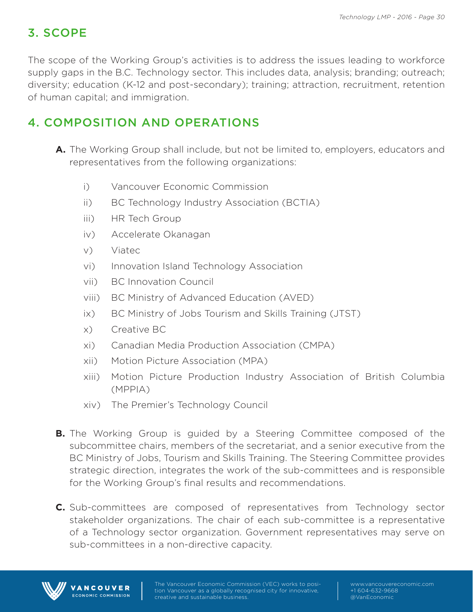## 3. SCOPE

The scope of the Working Group's activities is to address the issues leading to workforce supply gaps in the B.C. Technology sector. This includes data, analysis; branding; outreach; diversity; education (K-12 and post-secondary); training; attraction, recruitment, retention of human capital; and immigration.

# 4. COMPOSITION AND OPERATIONS

- **A.** The Working Group shall include, but not be limited to, employers, educators and representatives from the following organizations:
	- i) Vancouver Economic Commission
	- ii) BC Technology Industry Association (BCTIA)
	- iii) HR Tech Group
	- iv) Accelerate Okanagan
	- v) Viatec
	- vi) Innovation Island Technology Association
	- vii) BC Innovation Council
	- viii) BC Ministry of Advanced Education (AVED)
	- ix) BC Ministry of Jobs Tourism and Skills Training (JTST)
	- x) Creative BC
	- xi) Canadian Media Production Association (CMPA)
	- xii) Motion Picture Association (MPA)
	- xiii) Motion Picture Production Industry Association of British Columbia (MPPIA)
	- xiv) The Premier's Technology Council
- **B.** The Working Group is guided by a Steering Committee composed of the subcommittee chairs, members of the secretariat, and a senior executive from the BC Ministry of Jobs, Tourism and Skills Training. The Steering Committee provides strategic direction, integrates the work of the sub-committees and is responsible for the Working Group's final results and recommendations.
- **C.** Sub-committees are composed of representatives from Technology sector stakeholder organizations. The chair of each sub-committee is a representative of a Technology sector organization. Government representatives may serve on sub-committees in a non-directive capacity.



VANCOUVER **ECONOMIC COMMISSION**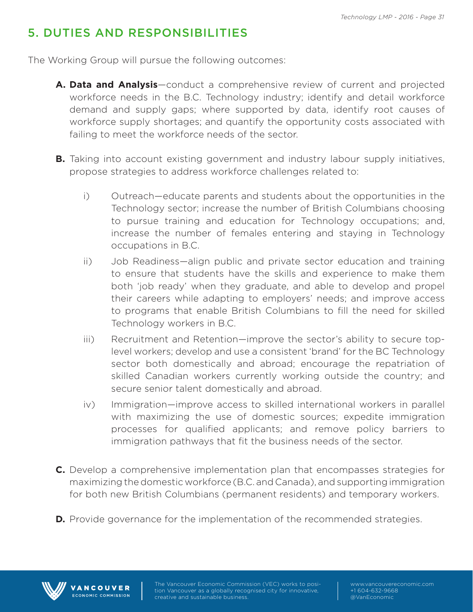# 5. DUTIES AND RESPONSIBILITIES

The Working Group will pursue the following outcomes:

- **A. Data and Analysis**—conduct a comprehensive review of current and projected workforce needs in the B.C. Technology industry; identify and detail workforce demand and supply gaps; where supported by data, identify root causes of workforce supply shortages; and quantify the opportunity costs associated with failing to meet the workforce needs of the sector.
- **B.** Taking into account existing government and industry labour supply initiatives, propose strategies to address workforce challenges related to:
	- i) Outreach—educate parents and students about the opportunities in the Technology sector; increase the number of British Columbians choosing to pursue training and education for Technology occupations; and, increase the number of females entering and staying in Technology occupations in B.C.
	- ii) Job Readiness—align public and private sector education and training to ensure that students have the skills and experience to make them both 'job ready' when they graduate, and able to develop and propel their careers while adapting to employers' needs; and improve access to programs that enable British Columbians to fill the need for skilled Technology workers in B.C.
	- iii) Recruitment and Retention—improve the sector's ability to secure toplevel workers; develop and use a consistent 'brand' for the BC Technology sector both domestically and abroad; encourage the repatriation of skilled Canadian workers currently working outside the country; and secure senior talent domestically and abroad.
	- iv) Immigration—improve access to skilled international workers in parallel with maximizing the use of domestic sources; expedite immigration processes for qualified applicants; and remove policy barriers to immigration pathways that fit the business needs of the sector.
- **C.** Develop a comprehensive implementation plan that encompasses strategies for maximizing the domestic workforce (B.C. and Canada), and supporting immigration for both new British Columbians (permanent residents) and temporary workers.
- **D.** Provide governance for the implementation of the recommended strategies.



VANCOUVER ECONOMIC COMMISSION tion Vancouver as a globally recognised city for innovative, creative and sustainable business.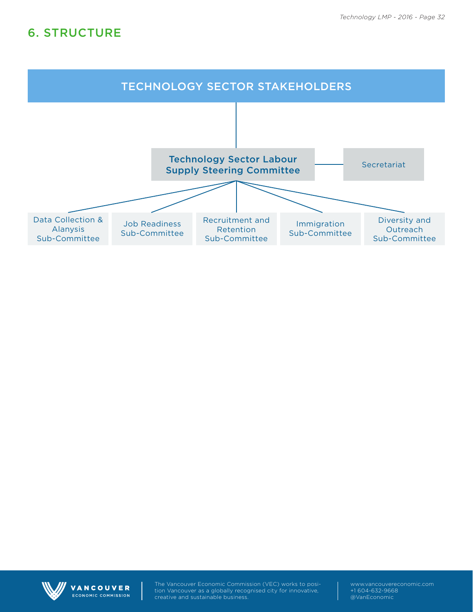## 6. STRUCTURE





VANCOUVER ECONOMIC COMMISSION The Vancouver Economic Commission (VEC) works to position Vancouver as a globally recognised city for innovative, creative and sustainable business.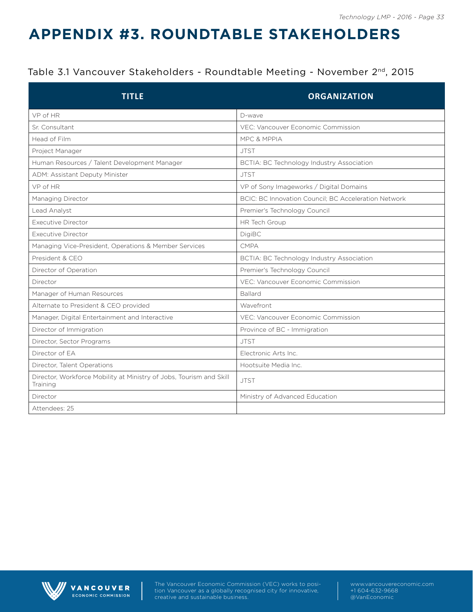# **APPENDIX #3. ROUNDTABLE STAKEHOLDERS**

#### Table 3.1 Vancouver Stakeholders - Roundtable Meeting - November 2<sup>nd</sup>, 2015

| <b>TITLE</b>                                                                    | <b>ORGANIZATION</b>                                  |
|---------------------------------------------------------------------------------|------------------------------------------------------|
| VP of HR                                                                        | D-wave                                               |
| Sr. Consultant                                                                  | VEC: Vancouver Economic Commission                   |
| Head of Film                                                                    | MPC & MPPIA                                          |
| Project Manager                                                                 | <b>JTST</b>                                          |
| Human Resources / Talent Development Manager                                    | BCTIA: BC Technology Industry Association            |
| ADM: Assistant Deputy Minister                                                  | <b>JTST</b>                                          |
| VP of HR                                                                        | VP of Sony Imageworks / Digital Domains              |
| Managing Director                                                               | BCIC: BC Innovation Council; BC Acceleration Network |
| Lead Analyst                                                                    | Premier's Technology Council                         |
| <b>Executive Director</b>                                                       | HR Tech Group                                        |
| <b>Executive Director</b>                                                       | DigiBC                                               |
| Managing Vice-President, Operations & Member Services                           | CMPA                                                 |
| President & CEO                                                                 | BCTIA: BC Technology Industry Association            |
| Director of Operation                                                           | Premier's Technology Council                         |
| Director                                                                        | VEC: Vancouver Economic Commission                   |
| Manager of Human Resources                                                      | Ballard                                              |
| Alternate to President & CEO provided                                           | Wavefront                                            |
| Manager, Digital Entertainment and Interactive                                  | VEC: Vancouver Economic Commission                   |
| Director of Immigration                                                         | Province of BC - Immigration                         |
| Director, Sector Programs                                                       | <b>JTST</b>                                          |
| Director of EA                                                                  | Electronic Arts Inc.                                 |
| Director, Talent Operations                                                     | Hootsuite Media Inc.                                 |
| Director, Workforce Mobility at Ministry of Jobs, Tourism and Skill<br>Training | <b>JTST</b>                                          |
| Director                                                                        | Ministry of Advanced Education                       |
| Attendees: 25                                                                   |                                                      |



VANCOUVER ECONOMIC COMMISSION The Vancouver Economic Commission (VEC) works to position Vancouver as a globally recognised city for innovative, creative and sustainable business.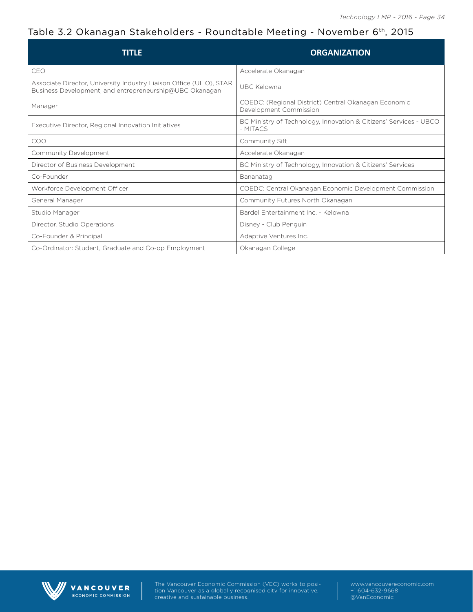#### Table 3.2 Okanagan Stakeholders - Roundtable Meeting - November 6th, 2015

| TITLF                                                                                                                          | <b>ORGANIZATION</b>                                                            |
|--------------------------------------------------------------------------------------------------------------------------------|--------------------------------------------------------------------------------|
| CEO                                                                                                                            | Accelerate Okanagan                                                            |
| Associate Director, University Industry Liaison Office (UILO), STAR<br>Business Development, and entrepreneurship@UBC Okanagan | UBC Kelowna                                                                    |
| Manager                                                                                                                        | COEDC: (Regional District) Central Okanagan Economic<br>Development Commission |
| Executive Director, Regional Innovation Initiatives                                                                            | BC Ministry of Technology, Innovation & Citizens' Services - UBCO<br>- MITACS  |
| COO                                                                                                                            | Community Sift                                                                 |
| Community Development                                                                                                          | Accelerate Okanagan                                                            |
| Director of Business Development                                                                                               | BC Ministry of Technology, Innovation & Citizens' Services                     |
| Co-Founder                                                                                                                     | Bananatag                                                                      |
| Workforce Development Officer                                                                                                  | COEDC: Central Okanagan Economic Development Commission                        |
| General Manager                                                                                                                | Community Futures North Okanagan                                               |
| Studio Manager                                                                                                                 | Bardel Entertainment Inc. - Kelowna                                            |
| Director, Studio Operations                                                                                                    | Disney - Club Penguin                                                          |
| Co-Founder & Principal                                                                                                         | Adaptive Ventures Inc.                                                         |
| Co-Ordinator: Student, Graduate and Co-op Employment                                                                           | Okanagan College                                                               |



VANCOUVER ECONOMIC COMMISSION The Vancouver Economic Commission (VEC) works to position Vancouver as a globally recognised city for innovative, creative and sustainable business.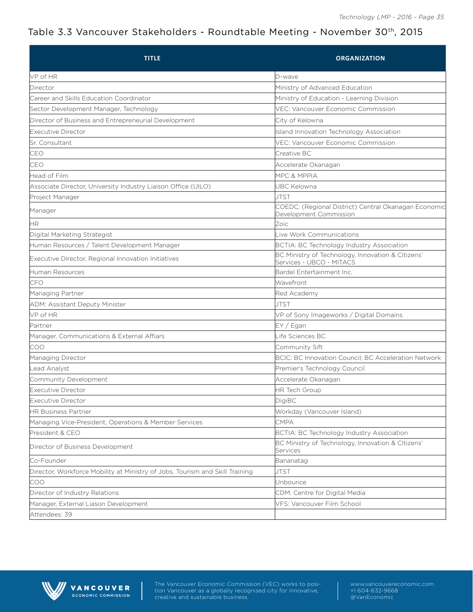#### Table 3.3 Vancouver Stakeholders - Roundtable Meeting - November 30th, 2015

| <b>TITLE</b>                                                                 | <b>ORGANIZATION</b>                                                            |
|------------------------------------------------------------------------------|--------------------------------------------------------------------------------|
| VP of HR                                                                     | D-wave                                                                         |
| Director                                                                     | Ministry of Advanced Education                                                 |
| Career and Skills Education Coordinator                                      | Ministry of Education - Learning Division                                      |
| Sector Development Manager, Technology                                       | VEC: Vancouver Economic Commission                                             |
| Director of Business and Entrepreneurial Development                         | City of Kelowna                                                                |
| Executive Director                                                           | <b>Island Innovation Technology Association</b>                                |
| Sr. Consultant                                                               | VEC: Vancouver Economic Commission                                             |
| CEO                                                                          | Creative BC                                                                    |
| CEO                                                                          | Accelerate Okanagan                                                            |
| Head of Film                                                                 | MPC & MPPIA                                                                    |
| Associate Director, University Industry Liaison Office (UILO)                | <b>JBC Kelowna</b>                                                             |
| Project Manager                                                              | JTST                                                                           |
| Manager                                                                      | COEDC: (Regional District) Central Okanagan Economic<br>Development Commission |
| НR.                                                                          | Zoic                                                                           |
| Digital Marketing Strategist                                                 | Live Work Communications                                                       |
| Human Resources / Talent Development Manager                                 | BCTIA: BC Technology Industry Association                                      |
| Executive Director, Regional Innovation Initiatives                          | BC Ministry of Technology, Innovation & Citizens'<br>Services - UBCO - MITACS  |
| Human Resources                                                              | Bardel Entertainment Inc.                                                      |
| CFO                                                                          | Wavefront                                                                      |
| Managing Partner                                                             | Red Academy                                                                    |
| ADM: Assistant Deputy Minister                                               | JTST                                                                           |
| VP of HR                                                                     | VP of Sony Imageworks / Digital Domains                                        |
| Partner                                                                      | EY / Egan                                                                      |
| Manager, Communications & External Affiars                                   | Life Sciences BC                                                               |
| ICOO                                                                         | Community Sift                                                                 |
| Managing Director                                                            | BCIC: BC Innovation Council; BC Acceleration Network                           |
| Lead Analyst                                                                 | Premier's Technology Council                                                   |
| Community Development                                                        | Accelerate Okanagan                                                            |
| Executive Director                                                           | <b>HR Tech Group</b>                                                           |
| Executive Director                                                           | DigiBC                                                                         |
| <b>HR Business Partner</b>                                                   | Workday (Vancouver Island)                                                     |
| Managing Vice-President, Operations & Member Services                        | <b>CMPA</b>                                                                    |
| President & CEO                                                              | BCTIA: BC Technology Industry Association                                      |
| Director of Business Development                                             | BC Ministry of Technology, Innovation & Citizens'<br>Services                  |
| Co-Founder                                                                   | Bananatag                                                                      |
| Director, Workforce Mobility at Ministry of Jobs, Tourism and Skill Training | JTST                                                                           |
| <b>COO</b>                                                                   | Jnbounce                                                                       |
| Director of Industry Relations                                               | CDM: Centre for Digital Media                                                  |
| Manager, External Liason Development                                         | VFS: Vancouver Film School                                                     |
| Attendees: 39                                                                |                                                                                |



VANCOUVER ECONOMIC COMMISSION The Vancouver Economic Commission (VEC) works to position Vancouver as a globally recognised city for innovative, creative and sustainable business.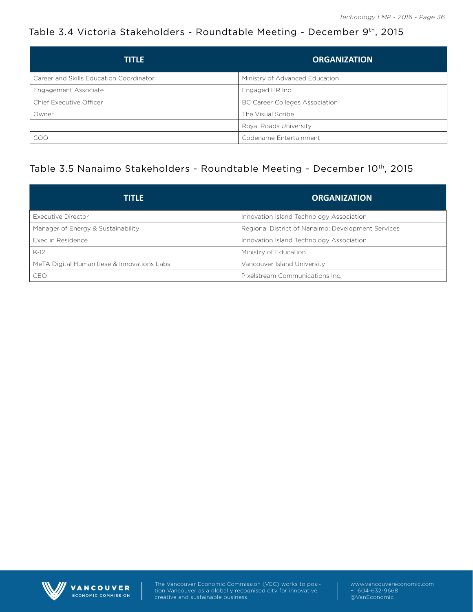#### Table 3.4 Victoria Stakeholders - Roundtable Meeting - December 9th, 2015

| <b>TITLE</b>                            | <b>ORGANIZATION</b>                   |
|-----------------------------------------|---------------------------------------|
| Career and Skills Education Coordinator | Ministry of Advanced Education        |
| Engagement Associate                    | Engaged HR Inc.                       |
| Chief Executive Officer                 | <b>BC Career Colleges Association</b> |
| Owner                                   | The Visual Scribe                     |
|                                         | Royal Roads University                |
| <b>COO</b>                              | Codename Entertainment                |

#### Table 3.5 Nanaimo Stakeholders - Roundtable Meeting - December 10th, 2015

| <b>TITLE</b>                                | <b>ORGANIZATION</b>                                |
|---------------------------------------------|----------------------------------------------------|
| Executive Director                          | Innovation Island Technology Association           |
| Manager of Energy & Sustainability          | Regional District of Nanaimo: Development Services |
| Exec in Residence                           | Innovation Island Technology Association           |
| $K-12$                                      | Ministry of Education                              |
| MeTA Digital Humanitiese & Innovations Labs | Vancouver Island University                        |
| CEO                                         | Pixelstream Communications Inc.                    |



VANCOUVER ECONOMIC COMMISSION The Vancouver Economic Commission (VEC) works to position Vancouver as a globally recognised city for innovative, creative and sustainable business.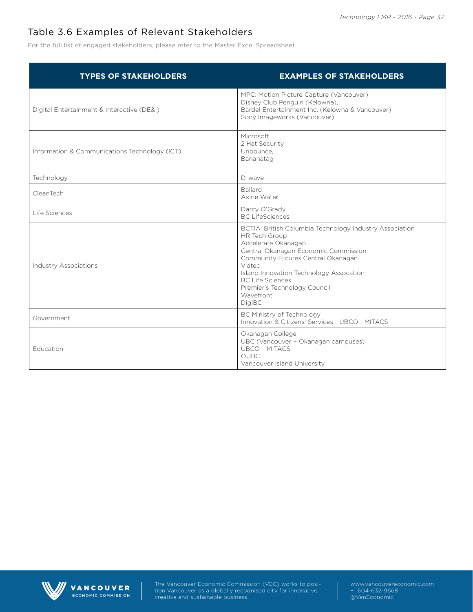#### Table 3.6 Examples of Relevant Stakeholders

For the full list of engaged stakeholders, please refer to the Master Excel Spreadsheet.

| <b>TYPES OF STAKEHOLDERS</b>                  | <b>EXAMPLES OF STAKEHOLDERS</b>                                                                                                                                                                                                                                                                                             |
|-----------------------------------------------|-----------------------------------------------------------------------------------------------------------------------------------------------------------------------------------------------------------------------------------------------------------------------------------------------------------------------------|
| Digital Entertainment & Interactive (DE&I)    | MPC: Motion Picture Capture (Vancouver)<br>Disney Club Penguin (Kelowna),<br>Bardel Entertainment Inc. (Kelowna & Vancouver)<br>Sony Imageworks (Vancouver)                                                                                                                                                                 |
| Information & Communications Technology (ICT) | Microsoft<br>2 Hat Security<br>Unbounce,<br>Bananatag                                                                                                                                                                                                                                                                       |
| Technology                                    | D-wave                                                                                                                                                                                                                                                                                                                      |
| CleanTech                                     | Ballard<br>Axine Water                                                                                                                                                                                                                                                                                                      |
| Life Sciences                                 | Darcy O'Grady<br><b>BC</b> LifeSciences                                                                                                                                                                                                                                                                                     |
| <b>Industry Associations</b>                  | BCTIA: British Columbia Technology Industry Association<br>HR Tech Group<br>Accelerate Okanagan<br>Central Okanagan Economic Commission<br>Community Futures Central Okanagan<br>Viatec<br>Island Innovation Technology Assocation<br><b>BC Life Sciences</b><br>Premier's Technology Council<br>Wavefront<br><b>DigiBC</b> |
| Government                                    | BC Ministry of Technology<br>Innovation & Citizens' Services - UBCO - MITACS                                                                                                                                                                                                                                                |
| Education                                     | Okanagan College<br>UBC (Vancouver + Okanagan campuses)<br><b>UBCO - MITACS</b><br><b>OUBC</b><br>Vancouver Island University                                                                                                                                                                                               |



The Vancouver Economic Commission (VEC) works to posi-VANCOUVER tion Vancouver as a globally recognised city for innovative, ECONOMIC COMMISSION creative and sustainable business.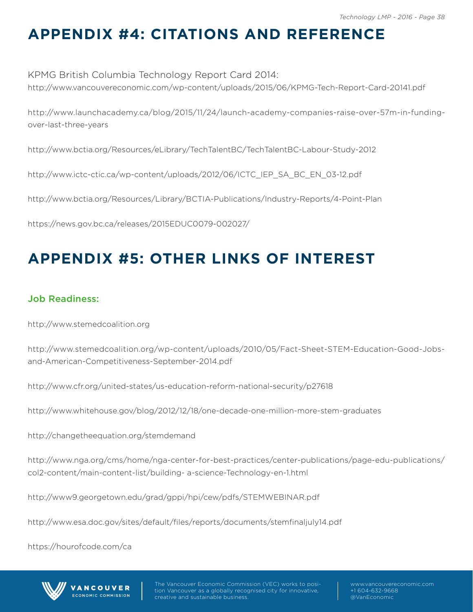# **APPENDIX #4: CITATIONS AND REFERENCE**

KPMG British Columbia Technology Report Card 2014: http://www.vancouvereconomic.com/wp-content/uploads/2015/06/KPMG-Tech-Report-Card-20141.pdf

http://www.launchacademy.ca/blog/2015/11/24/launch-academy-companies-raise-over-57m-in-fundingover-last-three-years

http://www.bctia.org/Resources/eLibrary/TechTalentBC/TechTalentBC-Labour-Study-2012

http://www.ictc-ctic.ca/wp-content/uploads/2012/06/ICTC\_IEP\_SA\_BC\_EN\_03-12.pdf

http://www.bctia.org/Resources/Library/BCTIA-Publications/Industry-Reports/4-Point-Plan

https://news.gov.bc.ca/releases/2015EDUC0079-002027/

# **APPENDIX #5: OTHER LINKS OF INTEREST**

#### Job Readiness:

http://www.stemedcoalition.org

http://www.stemedcoalition.org/wp-content/uploads/2010/05/Fact-Sheet-STEM-Education-Good-Jobsand-American-Competitiveness-September-2014.pdf

http://www.cfr.org/united-states/us-education-reform-national-security/p27618

http://www.whitehouse.gov/blog/2012/12/18/one-decade-one-million-more-stem-graduates

http://changetheequation.org/stemdemand

http://www.nga.org/cms/home/nga-center-for-best-practices/center-publications/page-edu-publications/ col2-content/main-content-list/building- a-science-Technology-en-1.html

http://www9.georgetown.edu/grad/gppi/hpi/cew/pdfs/STEMWEBINAR.pdf

http://www.esa.doc.gov/sites/default/files/reports/documents/stemfinaljuly14.pdf

https://hourofcode.com/ca

**ANCOUVER** CONOMIC COMMISSION



tion Vancouver as a globally recognised city for innovative, creative and sustainable business.